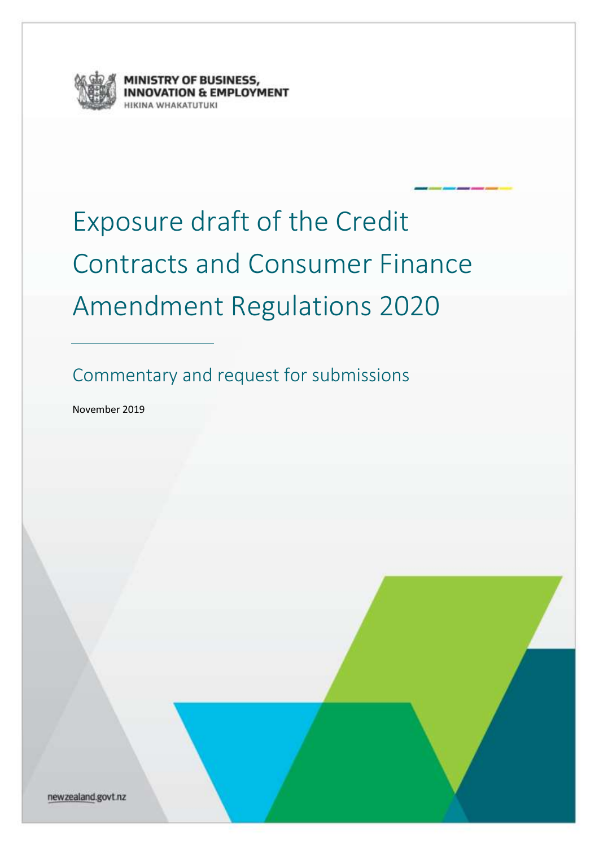

NISTRY OF BUSINESS,<br>NOVATION & EMPLOYMENT

# Exposure draft of the Credit Contracts and Consumer Finance Amendment Regulations 2020

Commentary and request for submissions

November 2019

newzealand.govt.nz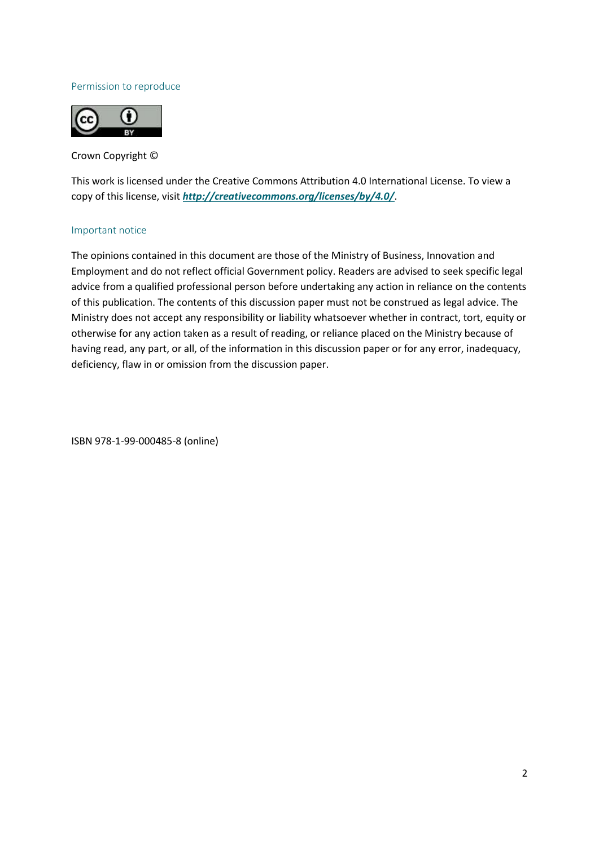#### Permission to reproduce



Crown Copyright ©

This work is licensed under the Creative Commons Attribution 4.0 International License. To view a copy of this license, visit *<http://creativecommons.org/licenses/by/4.0/>*.

#### Important notice

The opinions contained in this document are those of the Ministry of Business, Innovation and Employment and do not reflect official Government policy. Readers are advised to seek specific legal advice from a qualified professional person before undertaking any action in reliance on the contents of this publication. The contents of this discussion paper must not be construed as legal advice. The Ministry does not accept any responsibility or liability whatsoever whether in contract, tort, equity or otherwise for any action taken as a result of reading, or reliance placed on the Ministry because of having read, any part, or all, of the information in this discussion paper or for any error, inadequacy, deficiency, flaw in or omission from the discussion paper.

ISBN 978-1-99-000485-8 (online)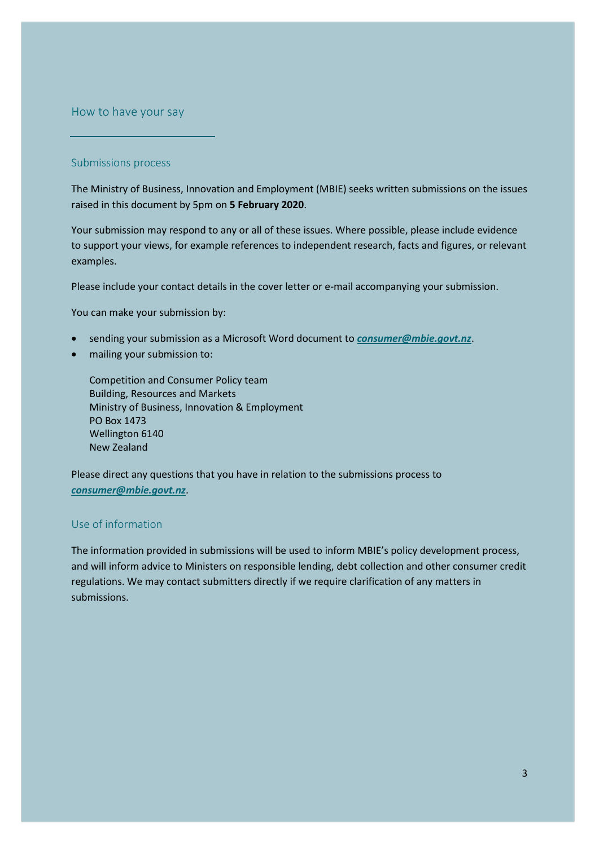<span id="page-2-0"></span>How to have your say

#### Submissions process

The Ministry of Business, Innovation and Employment (MBIE) seeks written submissions on the issues raised in this document by 5pm on **5 February 2020**.

Your submission may respond to any or all of these issues. Where possible, please include evidence to support your views, for example references to independent research, facts and figures, or relevant examples.

Please include your contact details in the cover letter or e-mail accompanying your submission.

You can make your submission by:

- sending your submission as a Microsoft Word document to *[consumer@mbie.govt.nz](file:///C:/Users/LivschS/AppData/Roaming/OpenText/OTEdit/EC_mako/c85721676/consumer@mbie.govt.nz)*.
- mailing your submission to:

Competition and Consumer Policy team Building, Resources and Markets Ministry of Business, Innovation & Employment PO Box 1473 Wellington 6140 New Zealand

Please direct any questions that you have in relation to the submissions process to *[consumer@mbie.govt.nz](file:///C:/Users/LivschS/AppData/Roaming/OpenText/OTEdit/EC_mako/c85721676/consumer@mbie.govt.nz)*.

## Use of information

The information provided in submissions will be used to inform MBIE's policy development process, and will inform advice to Ministers on responsible lending, debt collection and other consumer credit regulations. We may contact submitters directly if we require clarification of any matters in submissions.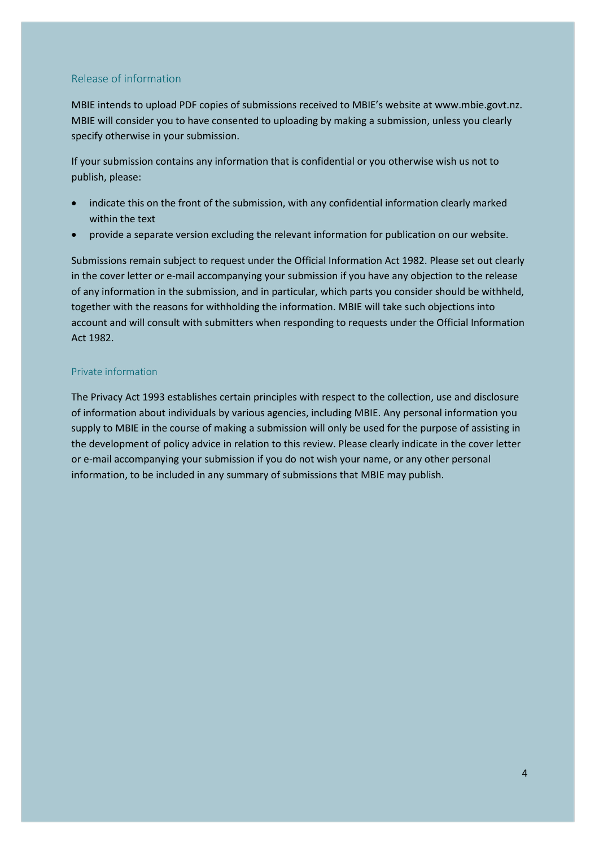#### Release of information

MBIE intends to upload PDF copies of submissions received to MBIE's website at [www.mbie.govt.nz.](http://www.mbie.govt.nz/) MBIE will consider you to have consented to uploading by making a submission, unless you clearly specify otherwise in your submission.

If your submission contains any information that is confidential or you otherwise wish us not to publish, please:

- indicate this on the front of the submission, with any confidential information clearly marked within the text
- provide a separate version excluding the relevant information for publication on our website.

Submissions remain subject to request under the Official Information Act 1982. Please set out clearly in the cover letter or e-mail accompanying your submission if you have any objection to the release of any information in the submission, and in particular, which parts you consider should be withheld, together with the reasons for withholding the information. MBIE will take such objections into account and will consult with submitters when responding to requests under the Official Information Act 1982.

#### Private information

The Privacy Act 1993 establishes certain principles with respect to the collection, use and disclosure of information about individuals by various agencies, including MBIE. Any personal information you supply to MBIE in the course of making a submission will only be used for the purpose of assisting in the development of policy advice in relation to this review. Please clearly indicate in the cover letter or e-mail accompanying your submission if you do not wish your name, or any other personal information, to be included in any summary of submissions that MBIE may publish.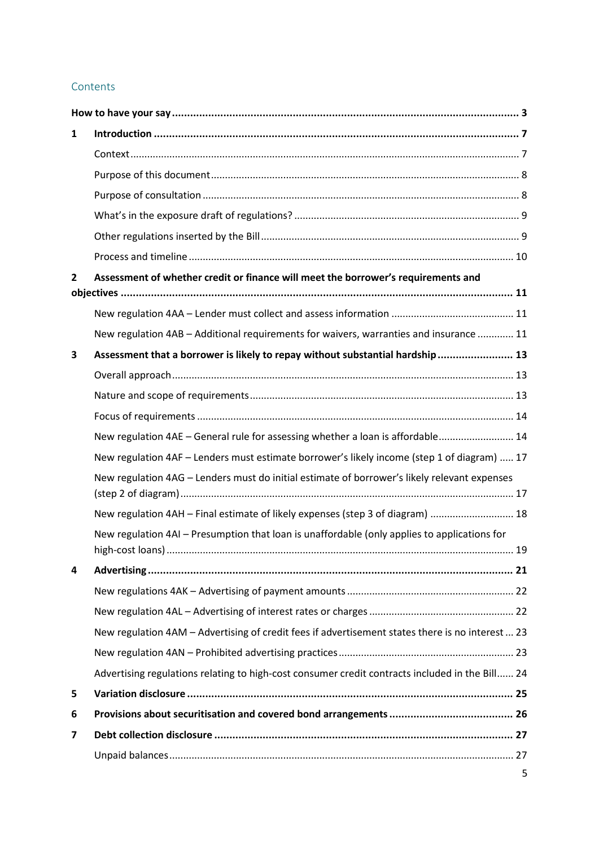# Contents

| 1 |                                                                                                  |  |
|---|--------------------------------------------------------------------------------------------------|--|
|   |                                                                                                  |  |
|   |                                                                                                  |  |
|   |                                                                                                  |  |
|   |                                                                                                  |  |
|   |                                                                                                  |  |
|   |                                                                                                  |  |
| 2 | Assessment of whether credit or finance will meet the borrower's requirements and                |  |
|   |                                                                                                  |  |
|   | New regulation 4AB - Additional requirements for waivers, warranties and insurance  11           |  |
| 3 | Assessment that a borrower is likely to repay without substantial hardship 13                    |  |
|   |                                                                                                  |  |
|   |                                                                                                  |  |
|   |                                                                                                  |  |
|   | New regulation 4AE - General rule for assessing whether a loan is affordable 14                  |  |
|   | New regulation 4AF - Lenders must estimate borrower's likely income (step 1 of diagram)  17      |  |
|   | New regulation 4AG - Lenders must do initial estimate of borrower's likely relevant expenses     |  |
|   | New regulation 4AH - Final estimate of likely expenses (step 3 of diagram)  18                   |  |
|   | New regulation 4AI - Presumption that loan is unaffordable (only applies to applications for     |  |
| 4 |                                                                                                  |  |
|   |                                                                                                  |  |
|   |                                                                                                  |  |
|   | New regulation 4AM - Advertising of credit fees if advertisement states there is no interest  23 |  |
|   |                                                                                                  |  |
|   | Advertising regulations relating to high-cost consumer credit contracts included in the Bill 24  |  |
| 5 |                                                                                                  |  |
| 6 |                                                                                                  |  |
| 7 |                                                                                                  |  |
|   |                                                                                                  |  |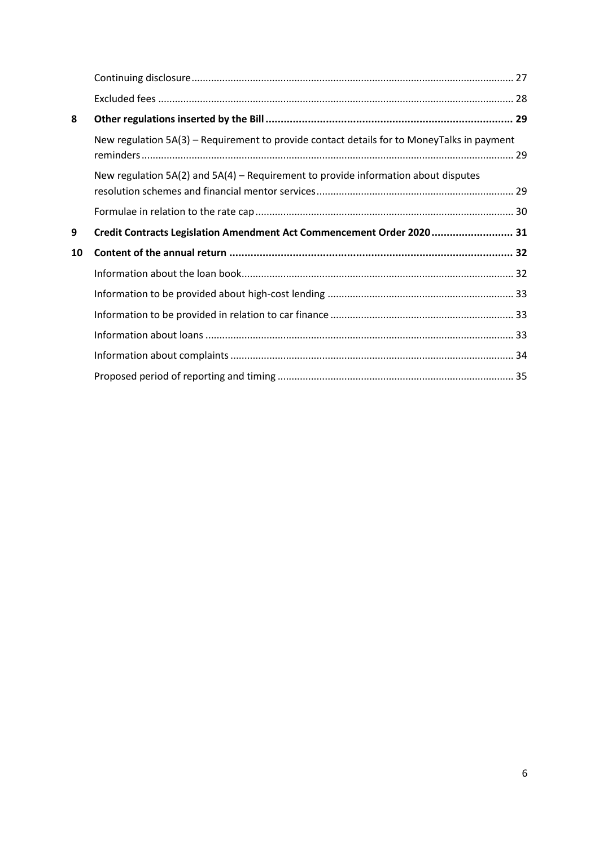| 8  |                                                                                            |  |
|----|--------------------------------------------------------------------------------------------|--|
|    | New regulation 5A(3) - Requirement to provide contact details for to MoneyTalks in payment |  |
|    | New regulation $5A(2)$ and $5A(4)$ – Requirement to provide information about disputes     |  |
|    |                                                                                            |  |
|    |                                                                                            |  |
| 9  | Credit Contracts Legislation Amendment Act Commencement Order 2020 31                      |  |
| 10 |                                                                                            |  |
|    |                                                                                            |  |
|    |                                                                                            |  |
|    |                                                                                            |  |
|    |                                                                                            |  |
|    |                                                                                            |  |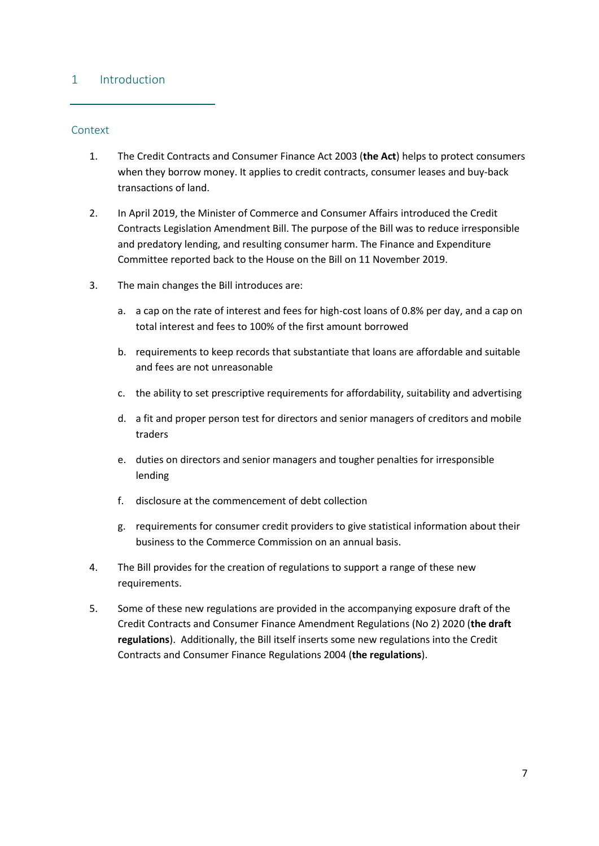## <span id="page-6-0"></span>1 Introduction

#### <span id="page-6-1"></span>Context

- 1. The Credit Contracts and Consumer Finance Act 2003 (**the Act**) helps to protect consumers when they borrow money. It applies to credit contracts, consumer leases and buy-back transactions of land.
- 2. In April 2019, the Minister of Commerce and Consumer Affairs introduced the Credit Contracts Legislation Amendment Bill. The purpose of the Bill was to reduce irresponsible and predatory lending, and resulting consumer harm. The Finance and Expenditure Committee reported back to the House on the Bill on 11 November 2019.
- 3. The main changes the Bill introduces are:
	- a. a cap on the rate of interest and fees for high-cost loans of 0.8% per day, and a cap on total interest and fees to 100% of the first amount borrowed
	- b. requirements to keep records that substantiate that loans are affordable and suitable and fees are not unreasonable
	- c. the ability to set prescriptive requirements for affordability, suitability and advertising
	- d. a fit and proper person test for directors and senior managers of creditors and mobile traders
	- e. duties on directors and senior managers and tougher penalties for irresponsible lending
	- f. disclosure at the commencement of debt collection
	- g. requirements for consumer credit providers to give statistical information about their business to the Commerce Commission on an annual basis.
- 4. The Bill provides for the creation of regulations to support a range of these new requirements.
- 5. Some of these new regulations are provided in the accompanying exposure draft of the Credit Contracts and Consumer Finance Amendment Regulations (No 2) 2020 (**the draft regulations**). Additionally, the Bill itself inserts some new regulations into the Credit Contracts and Consumer Finance Regulations 2004 (**the regulations**).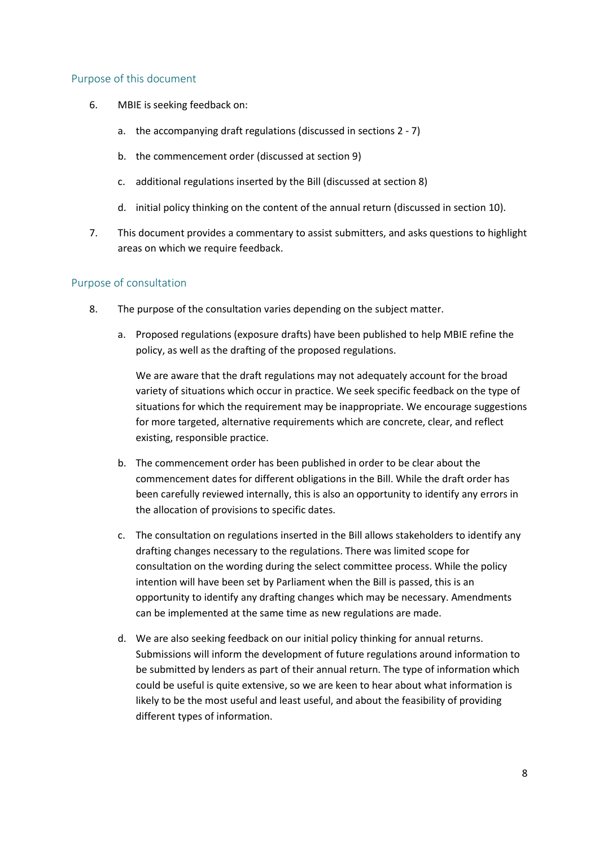#### <span id="page-7-0"></span>Purpose of this document

- 6. MBIE is seeking feedback on:
	- a. the accompanying draft regulations (discussed in sections 2 7)
	- b. the commencement order (discussed at section 9)
	- c. additional regulations inserted by the Bill (discussed at section 8)
	- d. initial policy thinking on the content of the annual return (discussed in section 10).
- 7. This document provides a commentary to assist submitters, and asks questions to highlight areas on which we require feedback.

## <span id="page-7-1"></span>Purpose of consultation

- 8. The purpose of the consultation varies depending on the subject matter.
	- a. Proposed regulations (exposure drafts) have been published to help MBIE refine the policy, as well as the drafting of the proposed regulations.

We are aware that the draft regulations may not adequately account for the broad variety of situations which occur in practice. We seek specific feedback on the type of situations for which the requirement may be inappropriate. We encourage suggestions for more targeted, alternative requirements which are concrete, clear, and reflect existing, responsible practice.

- b. The commencement order has been published in order to be clear about the commencement dates for different obligations in the Bill. While the draft order has been carefully reviewed internally, this is also an opportunity to identify any errors in the allocation of provisions to specific dates.
- c. The consultation on regulations inserted in the Bill allows stakeholders to identify any drafting changes necessary to the regulations. There was limited scope for consultation on the wording during the select committee process. While the policy intention will have been set by Parliament when the Bill is passed, this is an opportunity to identify any drafting changes which may be necessary. Amendments can be implemented at the same time as new regulations are made.
- d. We are also seeking feedback on our initial policy thinking for annual returns. Submissions will inform the development of future regulations around information to be submitted by lenders as part of their annual return. The type of information which could be useful is quite extensive, so we are keen to hear about what information is likely to be the most useful and least useful, and about the feasibility of providing different types of information.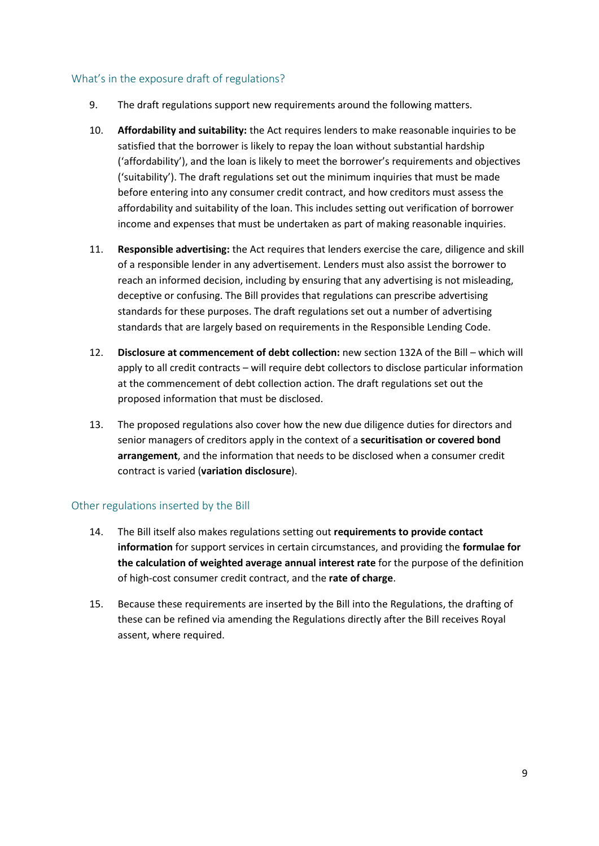#### <span id="page-8-0"></span>What's in the exposure draft of regulations?

- 9. The draft regulations support new requirements around the following matters.
- 10. **Affordability and suitability:** the Act requires lenders to make reasonable inquiries to be satisfied that the borrower is likely to repay the loan without substantial hardship ('affordability'), and the loan is likely to meet the borrower's requirements and objectives ('suitability'). The draft regulations set out the minimum inquiries that must be made before entering into any consumer credit contract, and how creditors must assess the affordability and suitability of the loan. This includes setting out verification of borrower income and expenses that must be undertaken as part of making reasonable inquiries.
- 11. **Responsible advertising:** the Act requires that lenders exercise the care, diligence and skill of a responsible lender in any advertisement. Lenders must also assist the borrower to reach an informed decision, including by ensuring that any advertising is not misleading, deceptive or confusing. The Bill provides that regulations can prescribe advertising standards for these purposes. The draft regulations set out a number of advertising standards that are largely based on requirements in the Responsible Lending Code.
- 12. **Disclosure at commencement of debt collection:** new section 132A of the Bill which will apply to all credit contracts – will require debt collectors to disclose particular information at the commencement of debt collection action. The draft regulations set out the proposed information that must be disclosed.
- 13. The proposed regulations also cover how the new due diligence duties for directors and senior managers of creditors apply in the context of a **securitisation or covered bond arrangement**, and the information that needs to be disclosed when a consumer credit contract is varied (**variation disclosure**).

## <span id="page-8-1"></span>Other regulations inserted by the Bill

- 14. The Bill itself also makes regulations setting out **requirements to provide contact information** for support services in certain circumstances, and providing the **formulae for the calculation of weighted average annual interest rate** for the purpose of the definition of high-cost consumer credit contract, and the **rate of charge**.
- 15. Because these requirements are inserted by the Bill into the Regulations, the drafting of these can be refined via amending the Regulations directly after the Bill receives Royal assent, where required.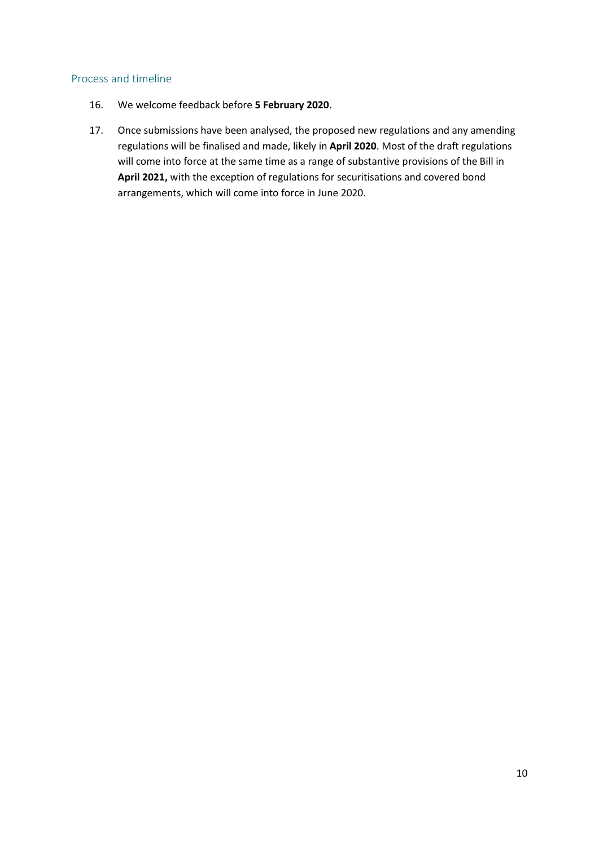#### <span id="page-9-0"></span>Process and timeline

- 16. We welcome feedback before **5 February 2020**.
- 17. Once submissions have been analysed, the proposed new regulations and any amending regulations will be finalised and made, likely in **April 2020**. Most of the draft regulations will come into force at the same time as a range of substantive provisions of the Bill in **April 2021,** with the exception of regulations for securitisations and covered bond arrangements, which will come into force in June 2020.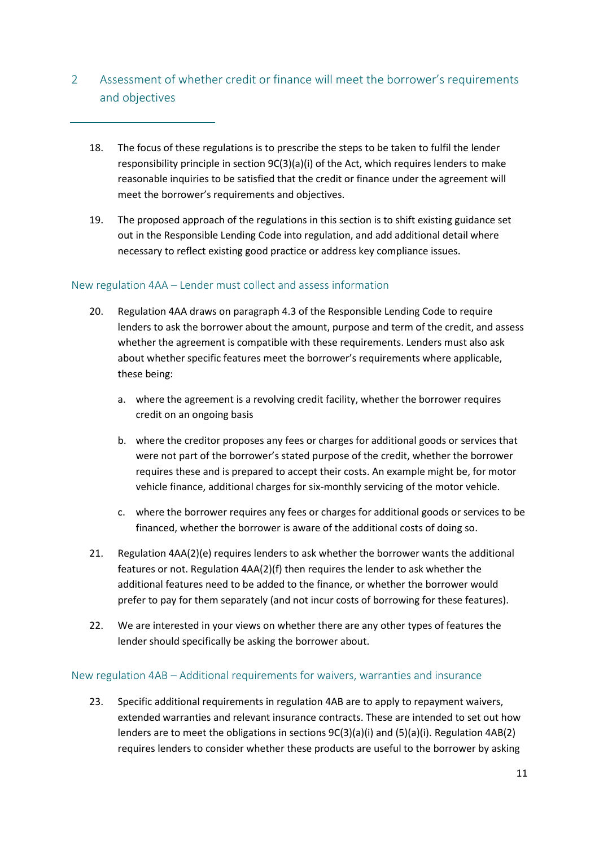- <span id="page-10-0"></span>2 Assessment of whether credit or finance will meet the borrower's requirements and objectives
	- 18. The focus of these regulations is to prescribe the steps to be taken to fulfil the lender responsibility principle in section  $9C(3)(a)(i)$  of the Act, which requires lenders to make reasonable inquiries to be satisfied that the credit or finance under the agreement will meet the borrower's requirements and objectives.
	- 19. The proposed approach of the regulations in this section is to shift existing guidance set out in the Responsible Lending Code into regulation, and add additional detail where necessary to reflect existing good practice or address key compliance issues.

## <span id="page-10-1"></span>New regulation 4AA – Lender must collect and assess information

- 20. Regulation 4AA draws on paragraph 4.3 of the Responsible Lending Code to require lenders to ask the borrower about the amount, purpose and term of the credit, and assess whether the agreement is compatible with these requirements. Lenders must also ask about whether specific features meet the borrower's requirements where applicable, these being:
	- a. where the agreement is a revolving credit facility, whether the borrower requires credit on an ongoing basis
	- b. where the creditor proposes any fees or charges for additional goods or services that were not part of the borrower's stated purpose of the credit, whether the borrower requires these and is prepared to accept their costs. An example might be, for motor vehicle finance, additional charges for six-monthly servicing of the motor vehicle.
	- c. where the borrower requires any fees or charges for additional goods or services to be financed, whether the borrower is aware of the additional costs of doing so.
- 21. Regulation 4AA(2)(e) requires lenders to ask whether the borrower wants the additional features or not. Regulation 4AA(2)(f) then requires the lender to ask whether the additional features need to be added to the finance, or whether the borrower would prefer to pay for them separately (and not incur costs of borrowing for these features).
- 22. We are interested in your views on whether there are any other types of features the lender should specifically be asking the borrower about.

## <span id="page-10-2"></span>New regulation 4AB – Additional requirements for waivers, warranties and insurance

23. Specific additional requirements in regulation 4AB are to apply to repayment waivers, extended warranties and relevant insurance contracts. These are intended to set out how lenders are to meet the obligations in sections 9C(3)(a)(i) and (5)(a)(i). Regulation 4AB(2) requires lenders to consider whether these products are useful to the borrower by asking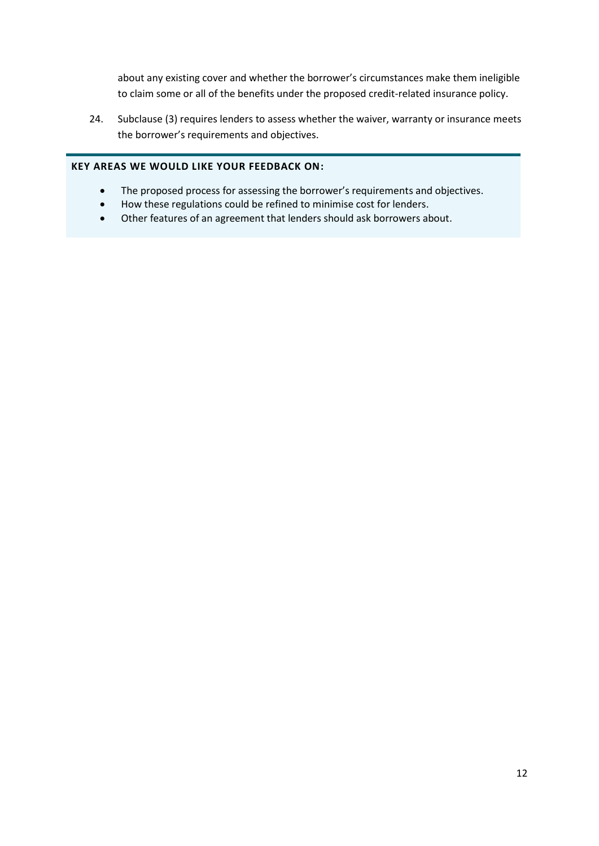about any existing cover and whether the borrower's circumstances make them ineligible to claim some or all of the benefits under the proposed credit-related insurance policy.

24. Subclause (3) requires lenders to assess whether the waiver, warranty or insurance meets the borrower's requirements and objectives.

#### **KEY AREAS WE WOULD LIKE YOUR FEEDBACK ON:**

- The proposed process for assessing the borrower's requirements and objectives.
- How these regulations could be refined to minimise cost for lenders.
- Other features of an agreement that lenders should ask borrowers about.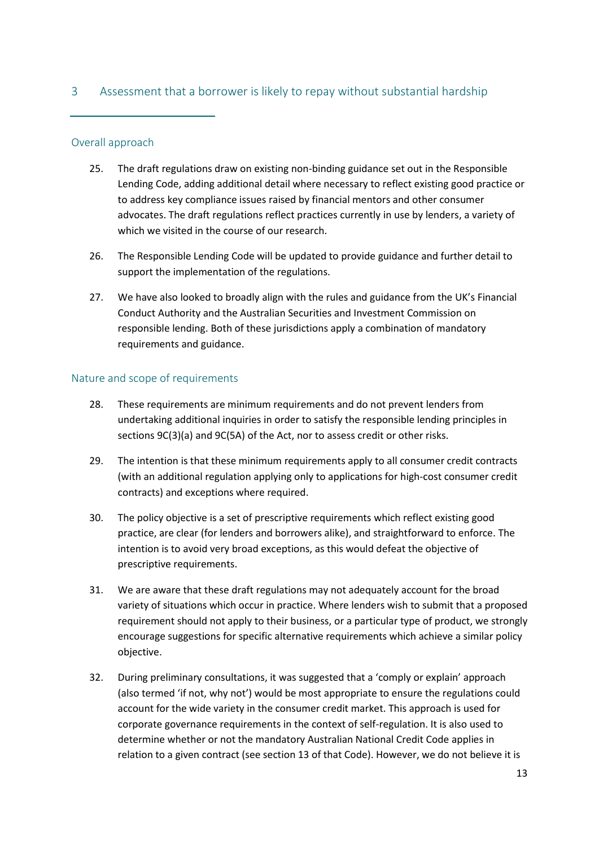# <span id="page-12-0"></span>3 Assessment that a borrower is likely to repay without substantial hardship

#### <span id="page-12-1"></span>Overall approach

- 25. The draft regulations draw on existing non-binding guidance set out in the Responsible Lending Code, adding additional detail where necessary to reflect existing good practice or to address key compliance issues raised by financial mentors and other consumer advocates. The draft regulations reflect practices currently in use by lenders, a variety of which we visited in the course of our research.
- 26. The Responsible Lending Code will be updated to provide guidance and further detail to support the implementation of the regulations.
- 27. We have also looked to broadly align with the rules and guidance from the UK's Financial Conduct Authority and the Australian Securities and Investment Commission on responsible lending. Both of these jurisdictions apply a combination of mandatory requirements and guidance.

#### <span id="page-12-2"></span>Nature and scope of requirements

- 28. These requirements are minimum requirements and do not prevent lenders from undertaking additional inquiries in order to satisfy the responsible lending principles in sections 9C(3)(a) and 9C(5A) of the Act, nor to assess credit or other risks.
- 29. The intention is that these minimum requirements apply to all consumer credit contracts (with an additional regulation applying only to applications for high-cost consumer credit contracts) and exceptions where required.
- 30. The policy objective is a set of prescriptive requirements which reflect existing good practice, are clear (for lenders and borrowers alike), and straightforward to enforce. The intention is to avoid very broad exceptions, as this would defeat the objective of prescriptive requirements.
- 31. We are aware that these draft regulations may not adequately account for the broad variety of situations which occur in practice. Where lenders wish to submit that a proposed requirement should not apply to their business, or a particular type of product, we strongly encourage suggestions for specific alternative requirements which achieve a similar policy objective.
- 32. During preliminary consultations, it was suggested that a 'comply or explain' approach (also termed 'if not, why not') would be most appropriate to ensure the regulations could account for the wide variety in the consumer credit market. This approach is used for corporate governance requirements in the context of self-regulation. It is also used to determine whether or not the mandatory Australian National Credit Code applies in relation to a given contract (see section 13 of that Code). However, we do not believe it is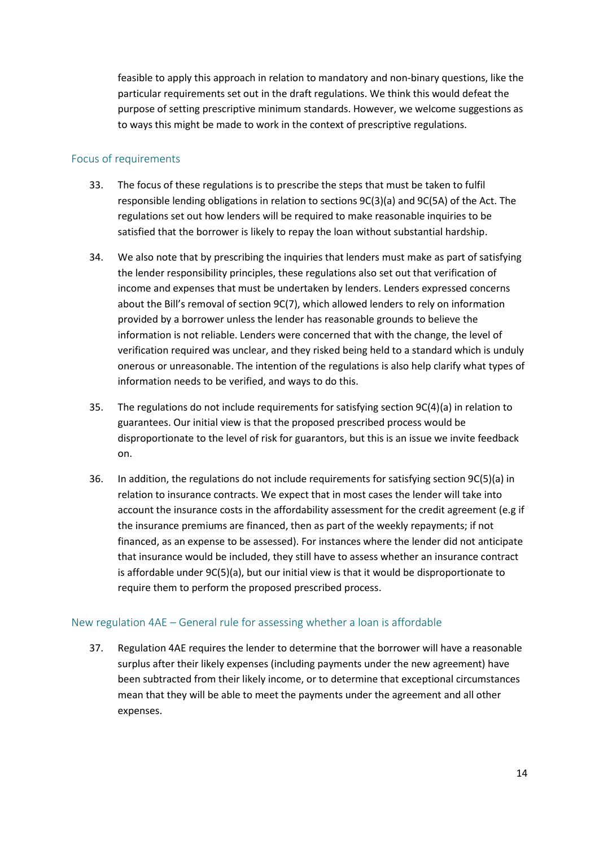feasible to apply this approach in relation to mandatory and non-binary questions, like the particular requirements set out in the draft regulations. We think this would defeat the purpose of setting prescriptive minimum standards. However, we welcome suggestions as to ways this might be made to work in the context of prescriptive regulations.

## <span id="page-13-0"></span>Focus of requirements

- 33. The focus of these regulations is to prescribe the steps that must be taken to fulfil responsible lending obligations in relation to sections 9C(3)(a) and 9C(5A) of the Act. The regulations set out how lenders will be required to make reasonable inquiries to be satisfied that the borrower is likely to repay the loan without substantial hardship.
- 34. We also note that by prescribing the inquiries that lenders must make as part of satisfying the lender responsibility principles, these regulations also set out that verification of income and expenses that must be undertaken by lenders. Lenders expressed concerns about the Bill's removal of section 9C(7), which allowed lenders to rely on information provided by a borrower unless the lender has reasonable grounds to believe the information is not reliable. Lenders were concerned that with the change, the level of verification required was unclear, and they risked being held to a standard which is unduly onerous or unreasonable. The intention of the regulations is also help clarify what types of information needs to be verified, and ways to do this.
- 35. The regulations do not include requirements for satisfying section 9C(4)(a) in relation to guarantees. Our initial view is that the proposed prescribed process would be disproportionate to the level of risk for guarantors, but this is an issue we invite feedback on.
- 36. In addition, the regulations do not include requirements for satisfying section 9C(5)(a) in relation to insurance contracts. We expect that in most cases the lender will take into account the insurance costs in the affordability assessment for the credit agreement (e.g if the insurance premiums are financed, then as part of the weekly repayments; if not financed, as an expense to be assessed). For instances where the lender did not anticipate that insurance would be included, they still have to assess whether an insurance contract is affordable under 9C(5)(a), but our initial view is that it would be disproportionate to require them to perform the proposed prescribed process.

# <span id="page-13-1"></span>New regulation 4AE – General rule for assessing whether a loan is affordable

37. Regulation 4AE requires the lender to determine that the borrower will have a reasonable surplus after their likely expenses (including payments under the new agreement) have been subtracted from their likely income, or to determine that exceptional circumstances mean that they will be able to meet the payments under the agreement and all other expenses.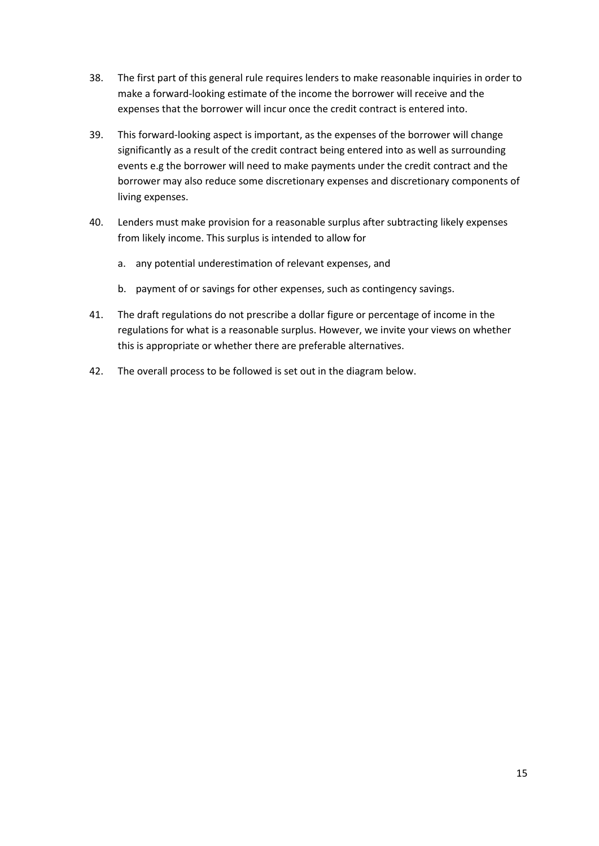- 38. The first part of this general rule requires lenders to make reasonable inquiries in order to make a forward-looking estimate of the income the borrower will receive and the expenses that the borrower will incur once the credit contract is entered into.
- 39. This forward-looking aspect is important, as the expenses of the borrower will change significantly as a result of the credit contract being entered into as well as surrounding events e.g the borrower will need to make payments under the credit contract and the borrower may also reduce some discretionary expenses and discretionary components of living expenses.
- 40. Lenders must make provision for a reasonable surplus after subtracting likely expenses from likely income. This surplus is intended to allow for
	- a. any potential underestimation of relevant expenses, and
	- b. payment of or savings for other expenses, such as contingency savings.
- 41. The draft regulations do not prescribe a dollar figure or percentage of income in the regulations for what is a reasonable surplus. However, we invite your views on whether this is appropriate or whether there are preferable alternatives.
- 42. The overall process to be followed is set out in the diagram below.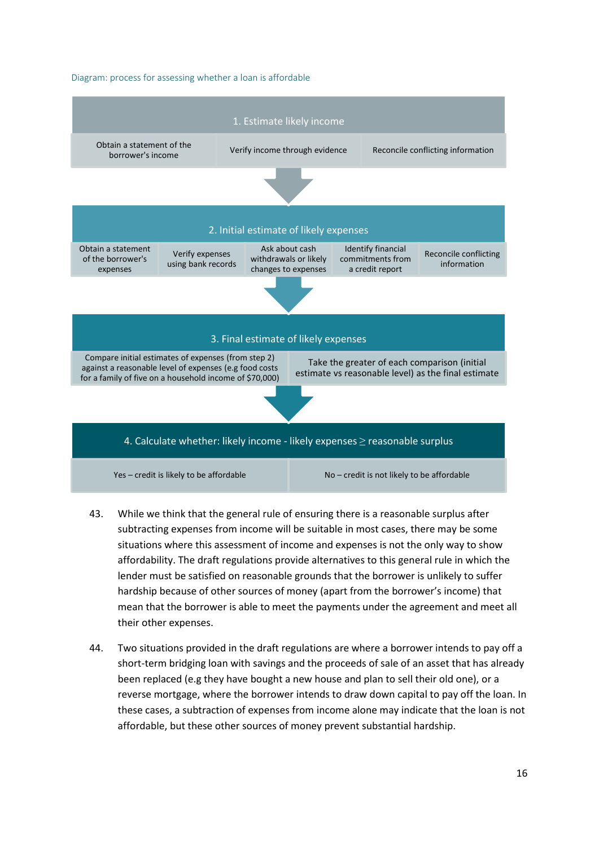#### Diagram: process for assessing whether a loan is affordable



- 43. While we think that the general rule of ensuring there is a reasonable surplus after subtracting expenses from income will be suitable in most cases, there may be some situations where this assessment of income and expenses is not the only way to show affordability. The draft regulations provide alternatives to this general rule in which the lender must be satisfied on reasonable grounds that the borrower is unlikely to suffer hardship because of other sources of money (apart from the borrower's income) that mean that the borrower is able to meet the payments under the agreement and meet all their other expenses.
- 44. Two situations provided in the draft regulations are where a borrower intends to pay off a short-term bridging loan with savings and the proceeds of sale of an asset that has already been replaced (e.g they have bought a new house and plan to sell their old one), or a reverse mortgage, where the borrower intends to draw down capital to pay off the loan. In these cases, a subtraction of expenses from income alone may indicate that the loan is not affordable, but these other sources of money prevent substantial hardship.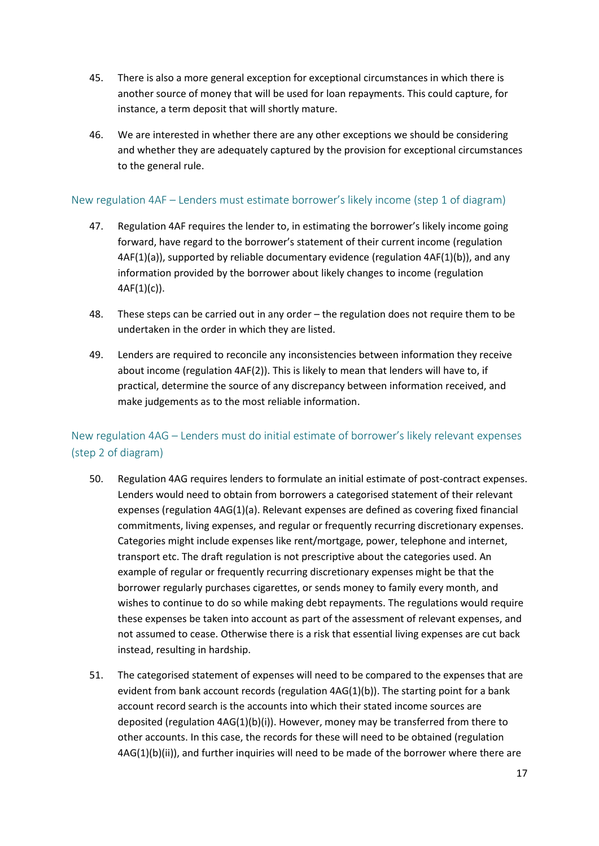- 45. There is also a more general exception for exceptional circumstances in which there is another source of money that will be used for loan repayments. This could capture, for instance, a term deposit that will shortly mature.
- 46. We are interested in whether there are any other exceptions we should be considering and whether they are adequately captured by the provision for exceptional circumstances to the general rule.

## <span id="page-16-0"></span>New regulation 4AF – Lenders must estimate borrower's likely income (step 1 of diagram)

- 47. Regulation 4AF requires the lender to, in estimating the borrower's likely income going forward, have regard to the borrower's statement of their current income (regulation 4AF(1)(a)), supported by reliable documentary evidence (regulation 4AF(1)(b)), and any information provided by the borrower about likely changes to income (regulation  $4AF(1)(c)$ ).
- 48. These steps can be carried out in any order the regulation does not require them to be undertaken in the order in which they are listed.
- 49. Lenders are required to reconcile any inconsistencies between information they receive about income (regulation 4AF(2)). This is likely to mean that lenders will have to, if practical, determine the source of any discrepancy between information received, and make judgements as to the most reliable information.

# <span id="page-16-1"></span>New regulation 4AG – Lenders must do initial estimate of borrower's likely relevant expenses (step 2 of diagram)

- 50. Regulation 4AG requires lenders to formulate an initial estimate of post-contract expenses. Lenders would need to obtain from borrowers a categorised statement of their relevant expenses (regulation 4AG(1)(a). Relevant expenses are defined as covering fixed financial commitments, living expenses, and regular or frequently recurring discretionary expenses. Categories might include expenses like rent/mortgage, power, telephone and internet, transport etc. The draft regulation is not prescriptive about the categories used. An example of regular or frequently recurring discretionary expenses might be that the borrower regularly purchases cigarettes, or sends money to family every month, and wishes to continue to do so while making debt repayments. The regulations would require these expenses be taken into account as part of the assessment of relevant expenses, and not assumed to cease. Otherwise there is a risk that essential living expenses are cut back instead, resulting in hardship.
- 51. The categorised statement of expenses will need to be compared to the expenses that are evident from bank account records (regulation 4AG(1)(b)). The starting point for a bank account record search is the accounts into which their stated income sources are deposited (regulation 4AG(1)(b)(i)). However, money may be transferred from there to other accounts. In this case, the records for these will need to be obtained (regulation  $4AG(1)(b)(ii)$ , and further inquiries will need to be made of the borrower where there are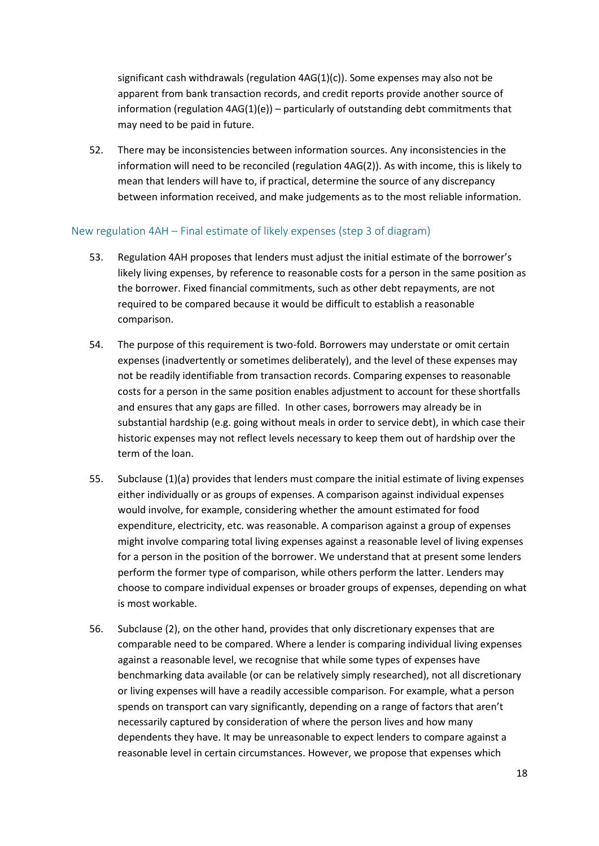significant cash withdrawals (regulation  $4AG(1)(c)$ ). Some expenses may also not be apparent from bank transaction records, and credit reports provide another source of information (regulation  $4AG(1)(e)$ ) – particularly of outstanding debt commitments that may need to be paid in future.

52. There may be inconsistencies between information sources. Any inconsistencies in the information will need to be reconciled (regulation 4AG(2)). As with income, this is likely to mean that lenders will have to, if practical, determine the source of any discrepancy between information received, and make judgements as to the most reliable information.

#### <span id="page-17-0"></span>New regulation 4AH – Final estimate of likely expenses (step 3 of diagram)

- 53. Regulation 4AH proposes that lenders must adjust the initial estimate of the borrower's likely living expenses, by reference to reasonable costs for a person in the same position as the borrower. Fixed financial commitments, such as other debt repayments, are not required to be compared because it would be difficult to establish a reasonable comparison.
- 54. The purpose of this requirement is two-fold. Borrowers may understate or omit certain expenses (inadvertently or sometimes deliberately), and the level of these expenses may not be readily identifiable from transaction records. Comparing expenses to reasonable costs for a person in the same position enables adjustment to account for these shortfalls and ensures that any gaps are filled. In other cases, borrowers may already be in substantial hardship (e.g. going without meals in order to service debt), in which case their historic expenses may not reflect levels necessary to keep them out of hardship over the term of the loan.
- 55. Subclause (1)(a) provides that lenders must compare the initial estimate of living expenses either individually or as groups of expenses. A comparison against individual expenses would involve, for example, considering whether the amount estimated for food expenditure, electricity, etc. was reasonable. A comparison against a group of expenses might involve comparing total living expenses against a reasonable level of living expenses for a person in the position of the borrower. We understand that at present some lenders perform the former type of comparison, while others perform the latter. Lenders may choose to compare individual expenses or broader groups of expenses, depending on what is most workable.
- 56. Subclause (2), on the other hand, provides that only discretionary expenses that are comparable need to be compared. Where a lender is comparing individual living expenses against a reasonable level, we recognise that while some types of expenses have benchmarking data available (or can be relatively simply researched), not all discretionary or living expenses will have a readily accessible comparison. For example, what a person spends on transport can vary significantly, depending on a range of factors that aren't necessarily captured by consideration of where the person lives and how many dependents they have. It may be unreasonable to expect lenders to compare against a reasonable level in certain circumstances. However, we propose that expenses which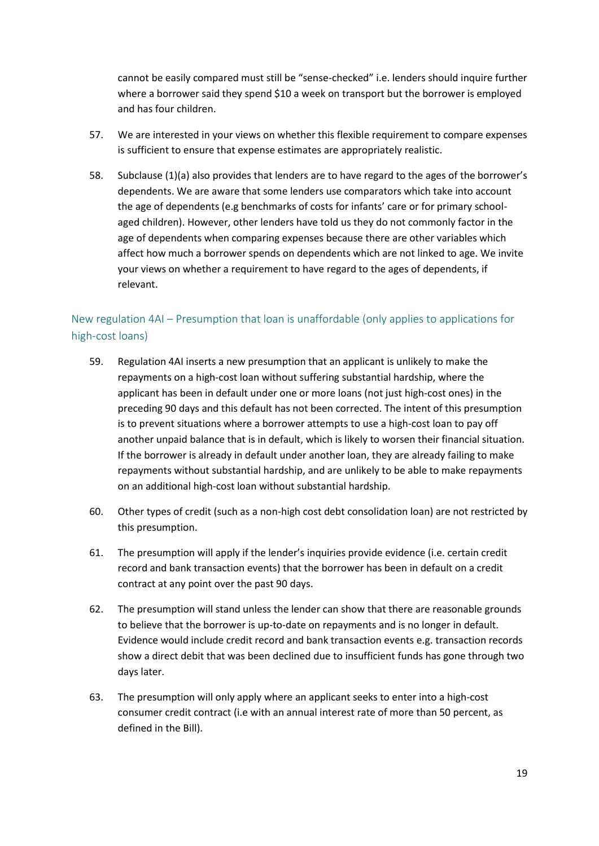cannot be easily compared must still be "sense-checked" i.e. lenders should inquire further where a borrower said they spend \$10 a week on transport but the borrower is employed and has four children.

- 57. We are interested in your views on whether this flexible requirement to compare expenses is sufficient to ensure that expense estimates are appropriately realistic.
- 58. Subclause (1)(a) also provides that lenders are to have regard to the ages of the borrower's dependents. We are aware that some lenders use comparators which take into account the age of dependents (e.g benchmarks of costs for infants' care or for primary schoolaged children). However, other lenders have told us they do not commonly factor in the age of dependents when comparing expenses because there are other variables which affect how much a borrower spends on dependents which are not linked to age. We invite your views on whether a requirement to have regard to the ages of dependents, if relevant.

# <span id="page-18-0"></span>New regulation 4AI – Presumption that loan is unaffordable (only applies to applications for high-cost loans)

- 59. Regulation 4AI inserts a new presumption that an applicant is unlikely to make the repayments on a high-cost loan without suffering substantial hardship, where the applicant has been in default under one or more loans (not just high-cost ones) in the preceding 90 days and this default has not been corrected. The intent of this presumption is to prevent situations where a borrower attempts to use a high-cost loan to pay off another unpaid balance that is in default, which is likely to worsen their financial situation. If the borrower is already in default under another loan, they are already failing to make repayments without substantial hardship, and are unlikely to be able to make repayments on an additional high-cost loan without substantial hardship.
- 60. Other types of credit (such as a non-high cost debt consolidation loan) are not restricted by this presumption.
- 61. The presumption will apply if the lender's inquiries provide evidence (i.e. certain credit record and bank transaction events) that the borrower has been in default on a credit contract at any point over the past 90 days.
- 62. The presumption will stand unless the lender can show that there are reasonable grounds to believe that the borrower is up-to-date on repayments and is no longer in default. Evidence would include credit record and bank transaction events e.g. transaction records show a direct debit that was been declined due to insufficient funds has gone through two days later.
- 63. The presumption will only apply where an applicant seeks to enter into a high-cost consumer credit contract (i.e with an annual interest rate of more than 50 percent, as defined in the Bill).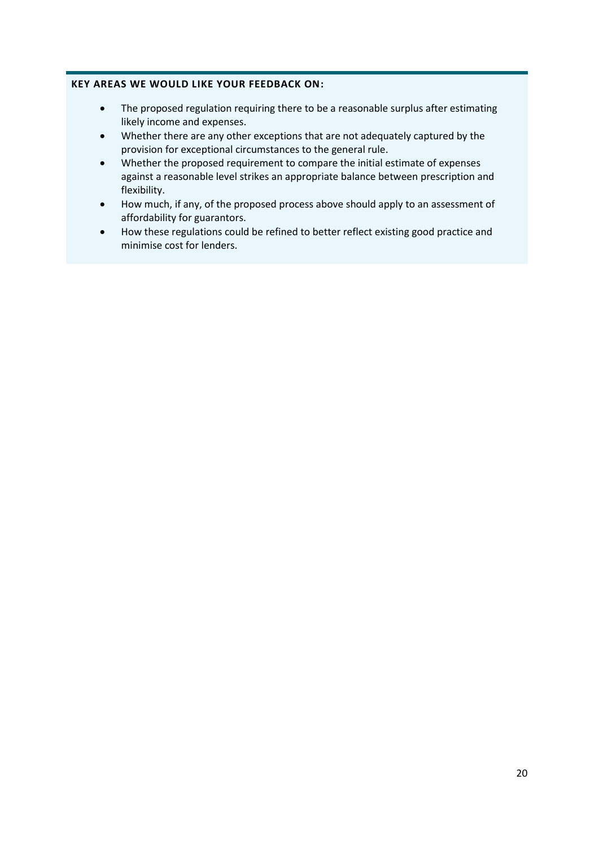#### **KEY AREAS WE WOULD LIKE YOUR FEEDBACK ON:**

- The proposed regulation requiring there to be a reasonable surplus after estimating likely income and expenses.
- Whether there are any other exceptions that are not adequately captured by the provision for exceptional circumstances to the general rule.
- Whether the proposed requirement to compare the initial estimate of expenses against a reasonable level strikes an appropriate balance between prescription and flexibility.
- How much, if any, of the proposed process above should apply to an assessment of affordability for guarantors.
- How these regulations could be refined to better reflect existing good practice and minimise cost for lenders.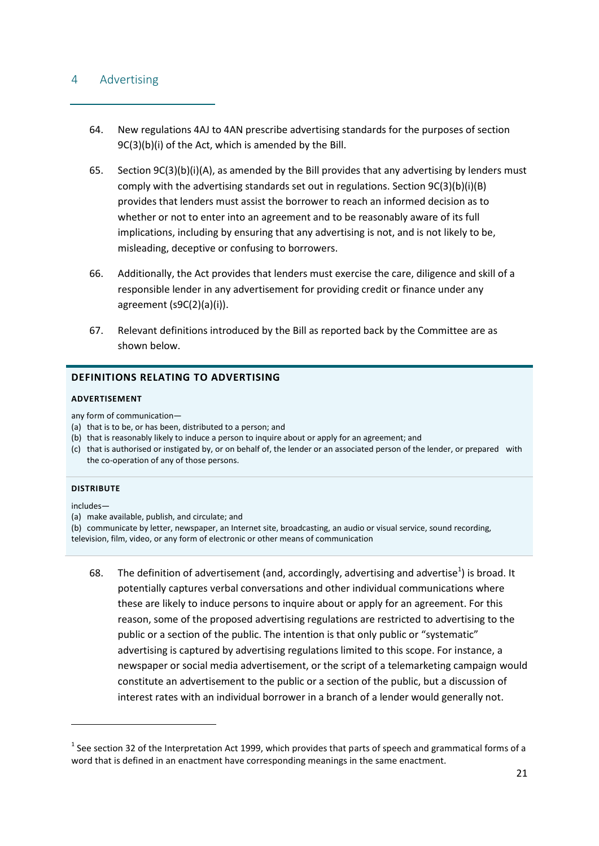#### <span id="page-20-0"></span>4 Advertising

- 64. New regulations 4AJ to 4AN prescribe advertising standards for the purposes of section 9C(3)(b)(i) of the Act, which is amended by the Bill.
- 65. Section 9C(3)(b)(i)(A), as amended by the Bill provides that any advertising by lenders must comply with the advertising standards set out in regulations. Section 9C(3)(b)(i)(B) provides that lenders must assist the borrower to reach an informed decision as to whether or not to enter into an agreement and to be reasonably aware of its full implications, including by ensuring that any advertising is not, and is not likely to be, misleading, deceptive or confusing to borrowers.
- 66. Additionally, the Act provides that lenders must exercise the care, diligence and skill of a responsible lender in any advertisement for providing credit or finance under any agreement (s9C(2)(a)(i)).
- 67. Relevant definitions introduced by the Bill as reported back by the Committee are as shown below.

#### **DEFINITIONS RELATING TO ADVERTISING**

#### **ADVERTISEMENT**

any form of communication—

- (a) that is to be, or has been, distributed to a person; and
- (b) that is reasonably likely to induce a person to inquire about or apply for an agreement; and
- (c) that is authorised or instigated by, or on behalf of, the lender or an associated person of the lender, or prepared with the co-operation of any of those persons.

#### **DISTRIBUTE**

includes—

 $\overline{a}$ 

- (b) communicate by letter, newspaper, an Internet site, broadcasting, an audio or visual service, sound recording, television, film, video, or any form of electronic or other means of communication
	- 68. The definition of advertisement (and, accordingly, advertising and advertise<sup>1</sup>) is broad. It potentially captures verbal conversations and other individual communications where these are likely to induce persons to inquire about or apply for an agreement. For this reason, some of the proposed advertising regulations are restricted to advertising to the public or a section of the public. The intention is that only public or "systematic" advertising is captured by advertising regulations limited to this scope. For instance, a newspaper or social media advertisement, or the script of a telemarketing campaign would constitute an advertisement to the public or a section of the public, but a discussion of interest rates with an individual borrower in a branch of a lender would generally not.

<sup>(</sup>a) make available, publish, and circulate; and

 $^1$  See section 32 of the Interpretation Act 1999, which provides that parts of speech and grammatical forms of a word that is defined in an enactment have corresponding meanings in the same enactment.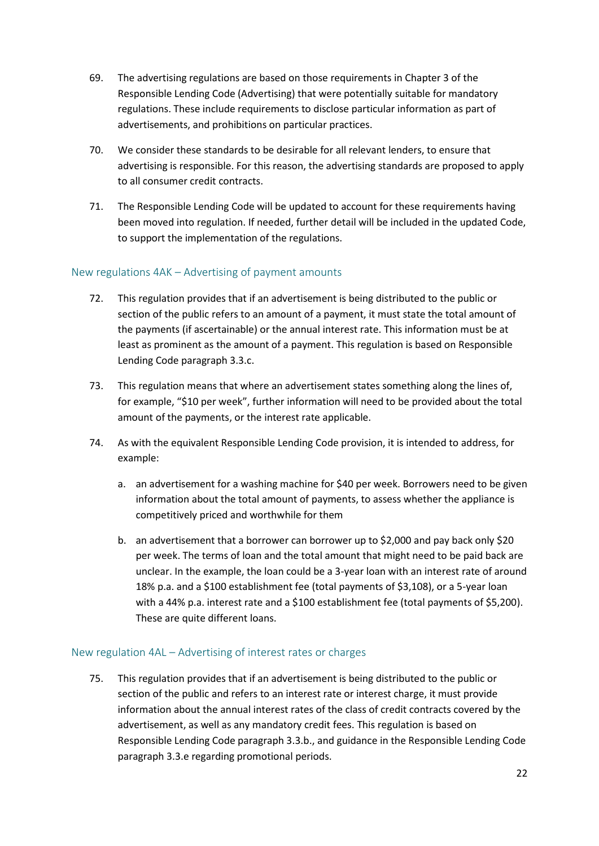- 69. The advertising regulations are based on those requirements in Chapter 3 of the Responsible Lending Code (Advertising) that were potentially suitable for mandatory regulations. These include requirements to disclose particular information as part of advertisements, and prohibitions on particular practices.
- 70. We consider these standards to be desirable for all relevant lenders, to ensure that advertising is responsible. For this reason, the advertising standards are proposed to apply to all consumer credit contracts.
- 71. The Responsible Lending Code will be updated to account for these requirements having been moved into regulation. If needed, further detail will be included in the updated Code, to support the implementation of the regulations.

## <span id="page-21-0"></span>New regulations 4AK – Advertising of payment amounts

- 72. This regulation provides that if an advertisement is being distributed to the public or section of the public refers to an amount of a payment, it must state the total amount of the payments (if ascertainable) or the annual interest rate. This information must be at least as prominent as the amount of a payment. This regulation is based on Responsible Lending Code paragraph 3.3.c.
- 73. This regulation means that where an advertisement states something along the lines of, for example, "\$10 per week", further information will need to be provided about the total amount of the payments, or the interest rate applicable.
- 74. As with the equivalent Responsible Lending Code provision, it is intended to address, for example:
	- a. an advertisement for a washing machine for \$40 per week. Borrowers need to be given information about the total amount of payments, to assess whether the appliance is competitively priced and worthwhile for them
	- b. an advertisement that a borrower can borrower up to \$2,000 and pay back only \$20 per week. The terms of loan and the total amount that might need to be paid back are unclear. In the example, the loan could be a 3-year loan with an interest rate of around 18% p.a. and a \$100 establishment fee (total payments of \$3,108), or a 5-year loan with a 44% p.a. interest rate and a \$100 establishment fee (total payments of \$5,200). These are quite different loans.

## <span id="page-21-1"></span>New regulation 4AL – Advertising of interest rates or charges

75. This regulation provides that if an advertisement is being distributed to the public or section of the public and refers to an interest rate or interest charge, it must provide information about the annual interest rates of the class of credit contracts covered by the advertisement, as well as any mandatory credit fees. This regulation is based on Responsible Lending Code paragraph 3.3.b., and guidance in the Responsible Lending Code paragraph 3.3.e regarding promotional periods.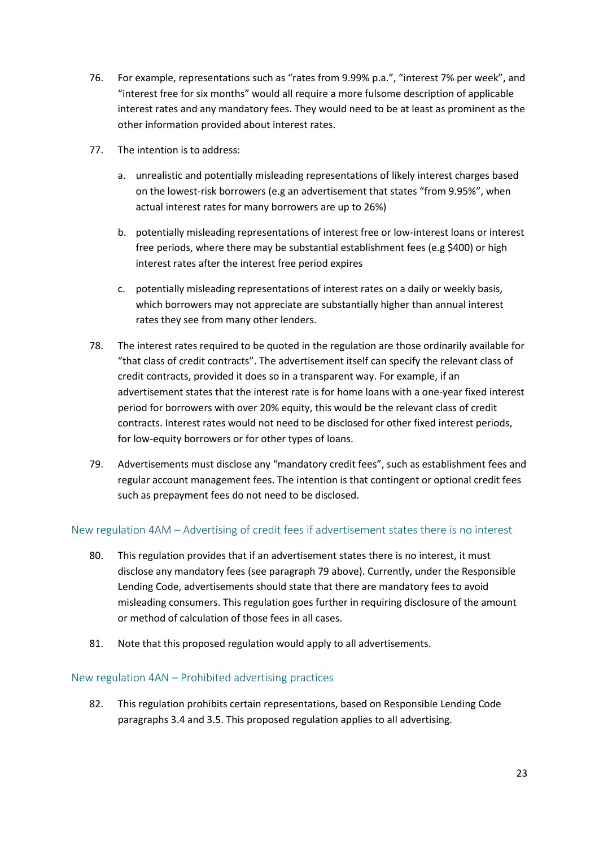- 76. For example, representations such as "rates from 9.99% p.a.", "interest 7% per week", and "interest free for six months" would all require a more fulsome description of applicable interest rates and any mandatory fees. They would need to be at least as prominent as the other information provided about interest rates.
- 77. The intention is to address:
	- a. unrealistic and potentially misleading representations of likely interest charges based on the lowest-risk borrowers (e.g an advertisement that states "from 9.95%", when actual interest rates for many borrowers are up to 26%)
	- b. potentially misleading representations of interest free or low-interest loans or interest free periods, where there may be substantial establishment fees (e.g \$400) or high interest rates after the interest free period expires
	- c. potentially misleading representations of interest rates on a daily or weekly basis, which borrowers may not appreciate are substantially higher than annual interest rates they see from many other lenders.
- 78. The interest rates required to be quoted in the regulation are those ordinarily available for "that class of credit contracts". The advertisement itself can specify the relevant class of credit contracts, provided it does so in a transparent way. For example, if an advertisement states that the interest rate is for home loans with a one-year fixed interest period for borrowers with over 20% equity, this would be the relevant class of credit contracts. Interest rates would not need to be disclosed for other fixed interest periods, for low-equity borrowers or for other types of loans.
- <span id="page-22-2"></span>79. Advertisements must disclose any "mandatory credit fees", such as establishment fees and regular account management fees. The intention is that contingent or optional credit fees such as prepayment fees do not need to be disclosed.

## <span id="page-22-0"></span>New regulation 4AM – Advertising of credit fees if advertisement states there is no interest

- 80. This regulation provides that if an advertisement states there is no interest, it must disclose any mandatory fees (see paragraph [79 above\)](#page-22-2). Currently, under the Responsible Lending Code, advertisements should state that there are mandatory fees to avoid misleading consumers. This regulation goes further in requiring disclosure of the amount or method of calculation of those fees in all cases.
- 81. Note that this proposed regulation would apply to all advertisements.

#### <span id="page-22-1"></span>New regulation 4AN – Prohibited advertising practices

82. This regulation prohibits certain representations, based on Responsible Lending Code paragraphs 3.4 and 3.5. This proposed regulation applies to all advertising.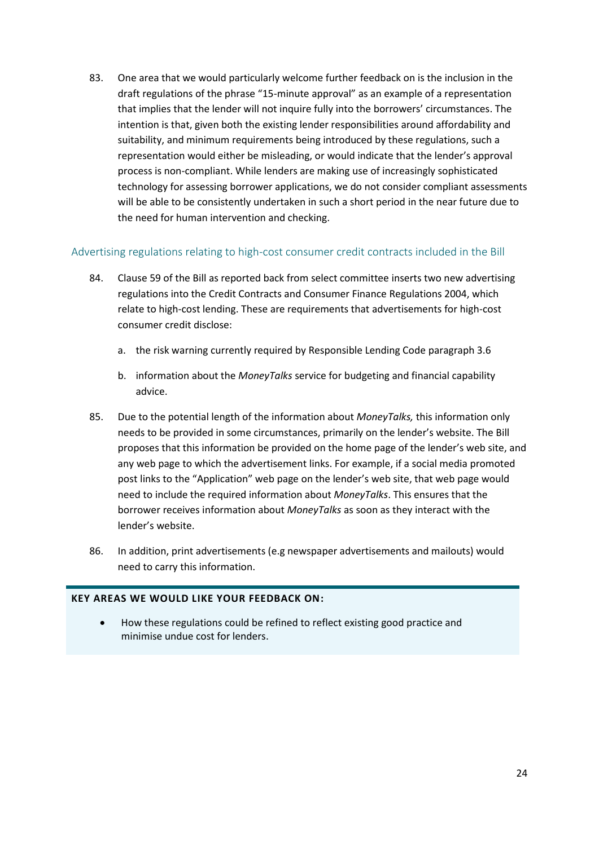83. One area that we would particularly welcome further feedback on is the inclusion in the draft regulations of the phrase "15-minute approval" as an example of a representation that implies that the lender will not inquire fully into the borrowers' circumstances. The intention is that, given both the existing lender responsibilities around affordability and suitability, and minimum requirements being introduced by these regulations, such a representation would either be misleading, or would indicate that the lender's approval process is non-compliant. While lenders are making use of increasingly sophisticated technology for assessing borrower applications, we do not consider compliant assessments will be able to be consistently undertaken in such a short period in the near future due to the need for human intervention and checking.

## <span id="page-23-0"></span>Advertising regulations relating to high-cost consumer credit contracts included in the Bill

- 84. Clause 59 of the Bill as reported back from select committee inserts two new advertising regulations into the Credit Contracts and Consumer Finance Regulations 2004, which relate to high-cost lending. These are requirements that advertisements for high-cost consumer credit disclose:
	- a. the risk warning currently required by Responsible Lending Code paragraph 3.6
	- b. information about the *MoneyTalks* service for budgeting and financial capability advice.
- 85. Due to the potential length of the information about *MoneyTalks,* this information only needs to be provided in some circumstances, primarily on the lender's website. The Bill proposes that this information be provided on the home page of the lender's web site, and any web page to which the advertisement links. For example, if a social media promoted post links to the "Application" web page on the lender's web site, that web page would need to include the required information about *MoneyTalks*. This ensures that the borrower receives information about *MoneyTalks* as soon as they interact with the lender's website.
- 86. In addition, print advertisements (e.g newspaper advertisements and mailouts) would need to carry this information.

## **KEY AREAS WE WOULD LIKE YOUR FEEDBACK ON:**

 How these regulations could be refined to reflect existing good practice and minimise undue cost for lenders.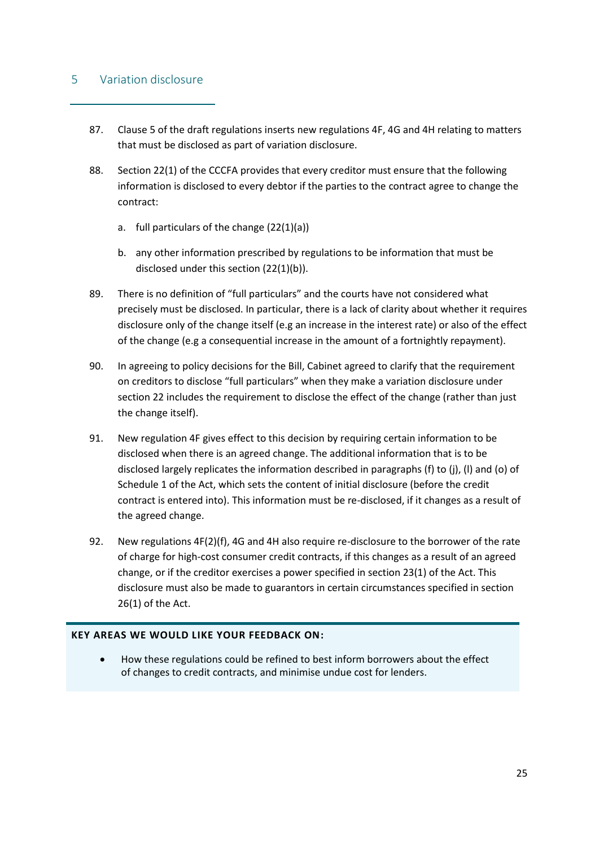## <span id="page-24-0"></span>5 Variation disclosure

- 87. Clause 5 of the draft regulations inserts new regulations 4F, 4G and 4H relating to matters that must be disclosed as part of variation disclosure.
- 88. Section 22(1) of the CCCFA provides that every creditor must ensure that the following information is disclosed to every debtor if the parties to the contract agree to change the contract:
	- a. full particulars of the change (22(1)(a))
	- b. any other information prescribed by regulations to be information that must be disclosed under this section (22(1)(b)).
- 89. There is no definition of "full particulars" and the courts have not considered what precisely must be disclosed. In particular, there is a lack of clarity about whether it requires disclosure only of the change itself (e.g an increase in the interest rate) or also of the effect of the change (e.g a consequential increase in the amount of a fortnightly repayment).
- 90. In agreeing to policy decisions for the Bill, Cabinet agreed to clarify that the requirement on creditors to disclose "full particulars" when they make a variation disclosure under section 22 includes the requirement to disclose the effect of the change (rather than just the change itself).
- 91. New regulation 4F gives effect to this decision by requiring certain information to be disclosed when there is an agreed change. The additional information that is to be disclosed largely replicates the information described in paragraphs (f) to (j), (l) and (o) of Schedule 1 of the Act, which sets the content of initial disclosure (before the credit contract is entered into). This information must be re-disclosed, if it changes as a result of the agreed change.
- 92. New regulations 4F(2)(f), 4G and 4H also require re-disclosure to the borrower of the rate of charge for high-cost consumer credit contracts, if this changes as a result of an agreed change, or if the creditor exercises a power specified in section 23(1) of the Act. This disclosure must also be made to guarantors in certain circumstances specified in section 26(1) of the Act.

#### **KEY AREAS WE WOULD LIKE YOUR FEEDBACK ON:**

 How these regulations could be refined to best inform borrowers about the effect of changes to credit contracts, and minimise undue cost for lenders.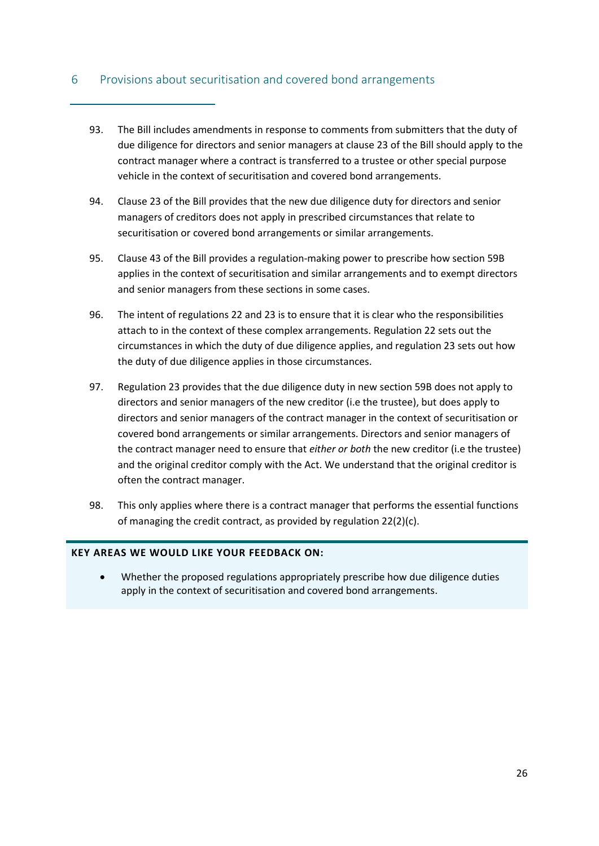# <span id="page-25-0"></span>6 Provisions about securitisation and covered bond arrangements

- 93. The Bill includes amendments in response to comments from submitters that the duty of due diligence for directors and senior managers at clause 23 of the Bill should apply to the contract manager where a contract is transferred to a trustee or other special purpose vehicle in the context of securitisation and covered bond arrangements.
- 94. Clause 23 of the Bill provides that the new due diligence duty for directors and senior managers of creditors does not apply in prescribed circumstances that relate to securitisation or covered bond arrangements or similar arrangements.
- 95. Clause 43 of the Bill provides a regulation-making power to prescribe how section 59B applies in the context of securitisation and similar arrangements and to exempt directors and senior managers from these sections in some cases.
- 96. The intent of regulations 22 and 23 is to ensure that it is clear who the responsibilities attach to in the context of these complex arrangements. Regulation 22 sets out the circumstances in which the duty of due diligence applies, and regulation 23 sets out how the duty of due diligence applies in those circumstances.
- 97. Regulation 23 provides that the due diligence duty in new section 59B does not apply to directors and senior managers of the new creditor (i.e the trustee), but does apply to directors and senior managers of the contract manager in the context of securitisation or covered bond arrangements or similar arrangements. Directors and senior managers of the contract manager need to ensure that *either or both* the new creditor (i.e the trustee) and the original creditor comply with the Act. We understand that the original creditor is often the contract manager.
- 98. This only applies where there is a contract manager that performs the essential functions of managing the credit contract, as provided by regulation 22(2)(c).

#### **KEY AREAS WE WOULD LIKE YOUR FEEDBACK ON:**

 Whether the proposed regulations appropriately prescribe how due diligence duties apply in the context of securitisation and covered bond arrangements.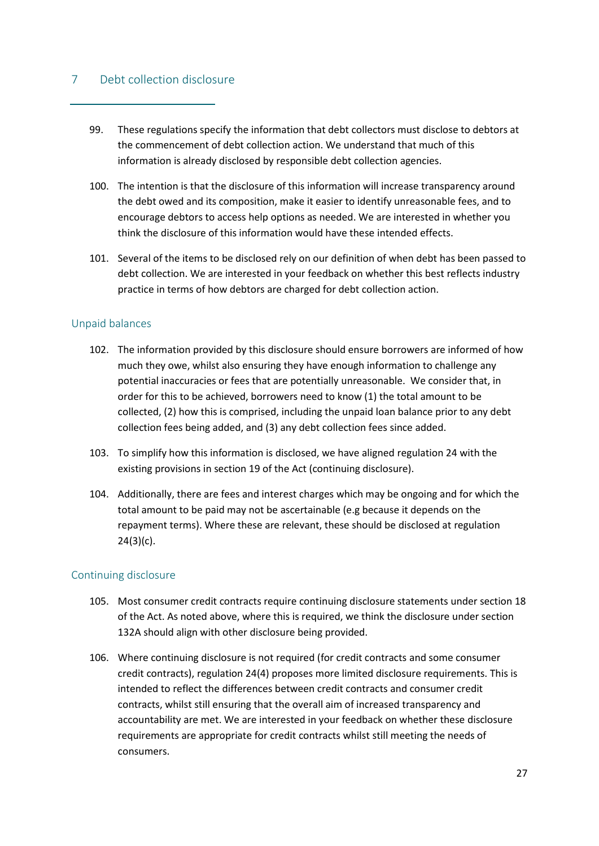## <span id="page-26-0"></span>7 Debt collection disclosure

- 99. These regulations specify the information that debt collectors must disclose to debtors at the commencement of debt collection action. We understand that much of this information is already disclosed by responsible debt collection agencies.
- 100. The intention is that the disclosure of this information will increase transparency around the debt owed and its composition, make it easier to identify unreasonable fees, and to encourage debtors to access help options as needed. We are interested in whether you think the disclosure of this information would have these intended effects.
- 101. Several of the items to be disclosed rely on our definition of when debt has been passed to debt collection. We are interested in your feedback on whether this best reflects industry practice in terms of how debtors are charged for debt collection action.

#### <span id="page-26-1"></span>Unpaid balances

- 102. The information provided by this disclosure should ensure borrowers are informed of how much they owe, whilst also ensuring they have enough information to challenge any potential inaccuracies or fees that are potentially unreasonable. We consider that, in order for this to be achieved, borrowers need to know (1) the total amount to be collected, (2) how this is comprised, including the unpaid loan balance prior to any debt collection fees being added, and (3) any debt collection fees since added.
- 103. To simplify how this information is disclosed, we have aligned regulation 24 with the existing provisions in section 19 of the Act (continuing disclosure).
- 104. Additionally, there are fees and interest charges which may be ongoing and for which the total amount to be paid may not be ascertainable (e.g because it depends on the repayment terms). Where these are relevant, these should be disclosed at regulation  $24(3)(c)$ .

## <span id="page-26-2"></span>Continuing disclosure

- 105. Most consumer credit contracts require continuing disclosure statements under section 18 of the Act. As noted above, where this is required, we think the disclosure under section 132A should align with other disclosure being provided.
- 106. Where continuing disclosure is not required (for credit contracts and some consumer credit contracts), regulation 24(4) proposes more limited disclosure requirements. This is intended to reflect the differences between credit contracts and consumer credit contracts, whilst still ensuring that the overall aim of increased transparency and accountability are met. We are interested in your feedback on whether these disclosure requirements are appropriate for credit contracts whilst still meeting the needs of consumers.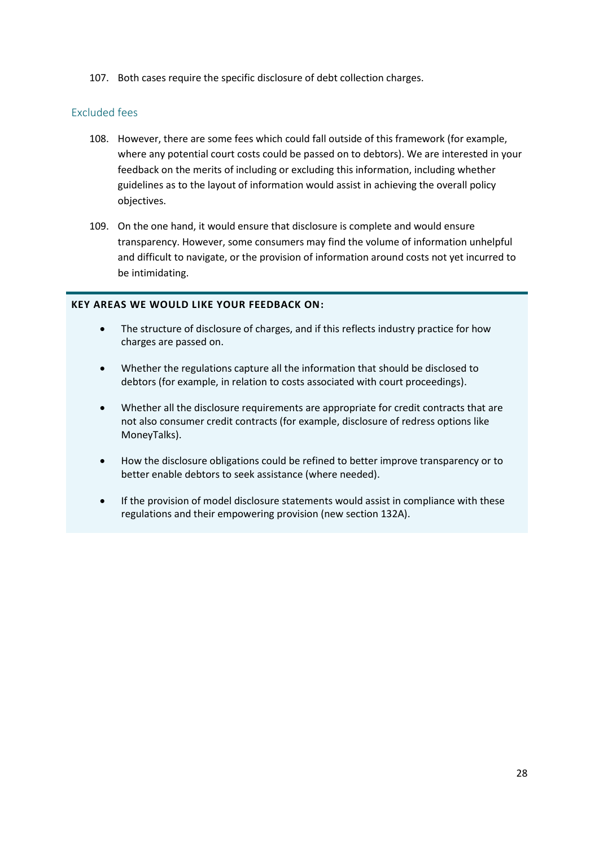107. Both cases require the specific disclosure of debt collection charges.

#### <span id="page-27-0"></span>Excluded fees

- 108. However, there are some fees which could fall outside of this framework (for example, where any potential court costs could be passed on to debtors). We are interested in your feedback on the merits of including or excluding this information, including whether guidelines as to the layout of information would assist in achieving the overall policy objectives.
- 109. On the one hand, it would ensure that disclosure is complete and would ensure transparency. However, some consumers may find the volume of information unhelpful and difficult to navigate, or the provision of information around costs not yet incurred to be intimidating.

#### **KEY AREAS WE WOULD LIKE YOUR FEEDBACK ON:**

- The structure of disclosure of charges, and if this reflects industry practice for how charges are passed on.
- Whether the regulations capture all the information that should be disclosed to debtors (for example, in relation to costs associated with court proceedings).
- Whether all the disclosure requirements are appropriate for credit contracts that are not also consumer credit contracts (for example, disclosure of redress options like MoneyTalks).
- How the disclosure obligations could be refined to better improve transparency or to better enable debtors to seek assistance (where needed).
- If the provision of model disclosure statements would assist in compliance with these regulations and their empowering provision (new section 132A).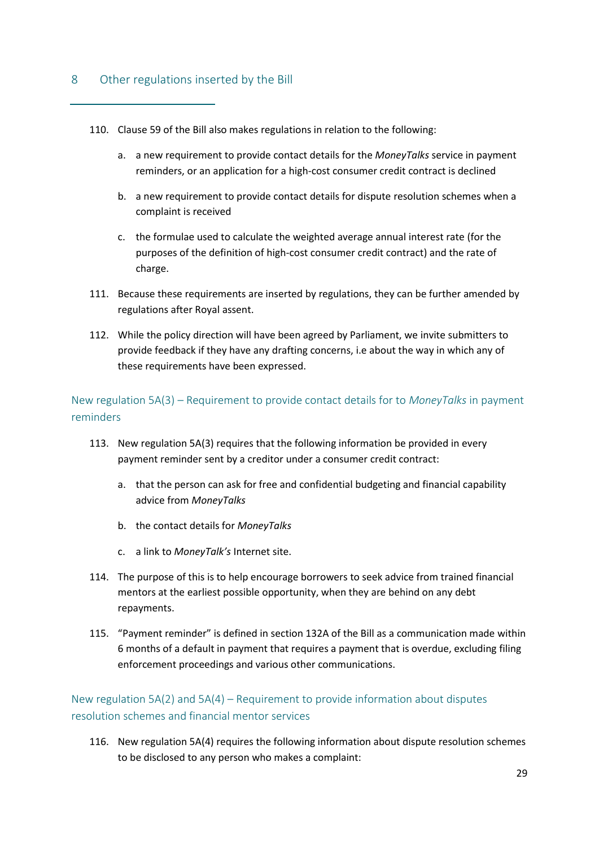## <span id="page-28-0"></span>8 Other regulations inserted by the Bill

- 110. Clause 59 of the Bill also makes regulations in relation to the following:
	- a. a new requirement to provide contact details for the *MoneyTalks* service in payment reminders, or an application for a high-cost consumer credit contract is declined
	- b. a new requirement to provide contact details for dispute resolution schemes when a complaint is received
	- c. the formulae used to calculate the weighted average annual interest rate (for the purposes of the definition of high-cost consumer credit contract) and the rate of charge.
- 111. Because these requirements are inserted by regulations, they can be further amended by regulations after Royal assent.
- 112. While the policy direction will have been agreed by Parliament, we invite submitters to provide feedback if they have any drafting concerns, i.e about the way in which any of these requirements have been expressed.

<span id="page-28-1"></span>New regulation 5A(3) – Requirement to provide contact details for to *MoneyTalks* in payment reminders

- 113. New regulation 5A(3) requires that the following information be provided in every payment reminder sent by a creditor under a consumer credit contract:
	- a. that the person can ask for free and confidential budgeting and financial capability advice from *MoneyTalks*
	- b. the contact details for *MoneyTalks*
	- c. a link to *MoneyTalk's* Internet site.
- 114. The purpose of this is to help encourage borrowers to seek advice from trained financial mentors at the earliest possible opportunity, when they are behind on any debt repayments.
- 115. "Payment reminder" is defined in section 132A of the Bill as a communication made within 6 months of a default in payment that requires a payment that is overdue, excluding filing enforcement proceedings and various other communications.

# <span id="page-28-2"></span>New regulation 5A(2) and 5A(4) – Requirement to provide information about disputes resolution schemes and financial mentor services

116. New regulation 5A(4) requires the following information about dispute resolution schemes to be disclosed to any person who makes a complaint: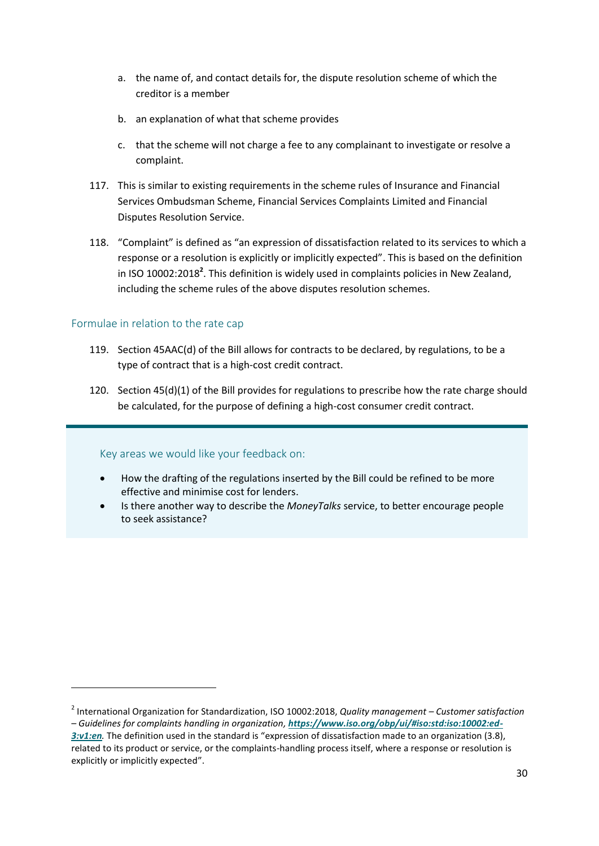- a. the name of, and contact details for, the dispute resolution scheme of which the creditor is a member
- b. an explanation of what that scheme provides
- c. that the scheme will not charge a fee to any complainant to investigate or resolve a complaint.
- 117. This is similar to existing requirements in the scheme rules of Insurance and Financial Services Ombudsman Scheme, Financial Services Complaints Limited and Financial Disputes Resolution Service.
- 118. "Complaint" is defined as "an expression of dissatisfaction related to its services to which a response or a resolution is explicitly or implicitly expected". This is based on the definition in ISO 10002:2018**<sup>2</sup>** . This definition is widely used in complaints policies in New Zealand, including the scheme rules of the above disputes resolution schemes.

## <span id="page-29-0"></span>Formulae in relation to the rate cap

l

- 119. Section 45AAC(d) of the Bill allows for contracts to be declared, by regulations, to be a type of contract that is a high-cost credit contract.
- 120. Section 45(d)(1) of the Bill provides for regulations to prescribe how the rate charge should be calculated, for the purpose of defining a high-cost consumer credit contract.

#### Key areas we would like your feedback on:

- How the drafting of the regulations inserted by the Bill could be refined to be more effective and minimise cost for lenders.
- Is there another way to describe the *MoneyTalks* service, to better encourage people to seek assistance?

<sup>2</sup> International Organization for Standardization, ISO 10002:2018, *Quality management – Customer satisfaction – Guidelines for complaints handling in organization, [https://www.iso.org/obp/ui/#iso:std:iso:10002:ed-](https://www.iso.org/obp/ui/#iso:std:iso:10002:ed-3:v1:en)[3:v1:en](https://www.iso.org/obp/ui/#iso:std:iso:10002:ed-3:v1:en).* The definition used in the standard is "expression of dissatisfaction made to an organization (3.8), related to its product or service, or the complaints-handling process itself, where a response or resolution is explicitly or implicitly expected".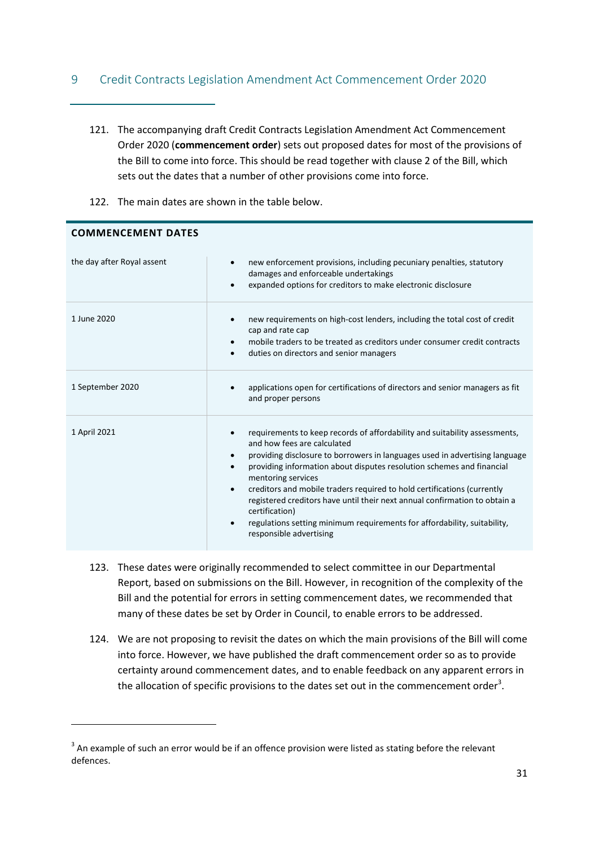# <span id="page-30-0"></span>9 Credit Contracts Legislation Amendment Act Commencement Order 2020

- 121. The accompanying draft Credit Contracts Legislation Amendment Act Commencement Order 2020 (**commencement order**) sets out proposed dates for most of the provisions of the Bill to come into force. This should be read together with clause 2 of the Bill, which sets out the dates that a number of other provisions come into force.
- 122. The main dates are shown in the table below.

| the day after Royal assent | new enforcement provisions, including pecuniary penalties, statutory<br>$\bullet$<br>damages and enforceable undertakings<br>expanded options for creditors to make electronic disclosure                                                                                                                                                                                                                                                                                                                                                                                                                             |  |  |
|----------------------------|-----------------------------------------------------------------------------------------------------------------------------------------------------------------------------------------------------------------------------------------------------------------------------------------------------------------------------------------------------------------------------------------------------------------------------------------------------------------------------------------------------------------------------------------------------------------------------------------------------------------------|--|--|
| 1 June 2020                | new requirements on high-cost lenders, including the total cost of credit<br>$\bullet$<br>cap and rate cap<br>mobile traders to be treated as creditors under consumer credit contracts<br>$\bullet$<br>duties on directors and senior managers                                                                                                                                                                                                                                                                                                                                                                       |  |  |
| 1 September 2020           | applications open for certifications of directors and senior managers as fit<br>and proper persons                                                                                                                                                                                                                                                                                                                                                                                                                                                                                                                    |  |  |
| 1 April 2021               | requirements to keep records of affordability and suitability assessments,<br>٠<br>and how fees are calculated<br>providing disclosure to borrowers in languages used in advertising language<br>providing information about disputes resolution schemes and financial<br>$\bullet$<br>mentoring services<br>creditors and mobile traders required to hold certifications (currently<br>$\bullet$<br>registered creditors have until their next annual confirmation to obtain a<br>certification)<br>regulations setting minimum requirements for affordability, suitability,<br>$\bullet$<br>responsible advertising |  |  |

**COMMENCEMENT DATES**

 $\overline{a}$ 

- 123. These dates were originally recommended to select committee in our Departmental Report, based on submissions on the Bill. However, in recognition of the complexity of the Bill and the potential for errors in setting commencement dates, we recommended that many of these dates be set by Order in Council, to enable errors to be addressed.
- 124. We are not proposing to revisit the dates on which the main provisions of the Bill will come into force. However, we have published the draft commencement order so as to provide certainty around commencement dates, and to enable feedback on any apparent errors in the allocation of specific provisions to the dates set out in the commencement order<sup>3</sup>.

 $3$  An example of such an error would be if an offence provision were listed as stating before the relevant defences.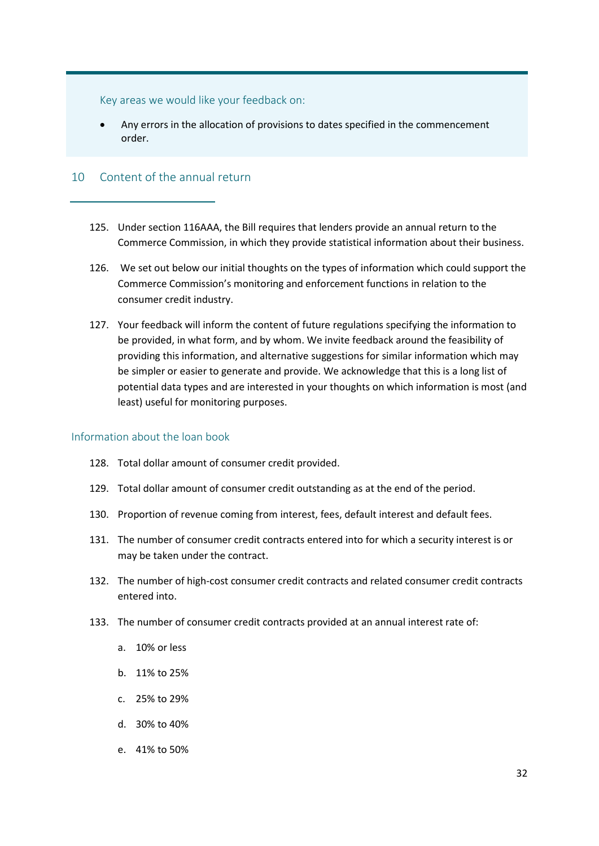Key areas we would like your feedback on:

 Any errors in the allocation of provisions to dates specified in the commencement order.

## <span id="page-31-0"></span>10 Content of the annual return

- 125. Under section 116AAA, the Bill requires that lenders provide an annual return to the Commerce Commission, in which they provide statistical information about their business.
- 126. We set out below our initial thoughts on the types of information which could support the Commerce Commission's monitoring and enforcement functions in relation to the consumer credit industry.
- 127. Your feedback will inform the content of future regulations specifying the information to be provided, in what form, and by whom. We invite feedback around the feasibility of providing this information, and alternative suggestions for similar information which may be simpler or easier to generate and provide. We acknowledge that this is a long list of potential data types and are interested in your thoughts on which information is most (and least) useful for monitoring purposes.

#### <span id="page-31-1"></span>Information about the loan book

- 128. Total dollar amount of consumer credit provided.
- 129. Total dollar amount of consumer credit outstanding as at the end of the period.
- 130. Proportion of revenue coming from interest, fees, default interest and default fees.
- 131. The number of consumer credit contracts entered into for which a security interest is or may be taken under the contract.
- 132. The number of high-cost consumer credit contracts and related consumer credit contracts entered into.
- 133. The number of consumer credit contracts provided at an annual interest rate of:
	- a. 10% or less
	- b. 11% to 25%
	- c. 25% to 29%
	- d. 30% to 40%
	- e. 41% to 50%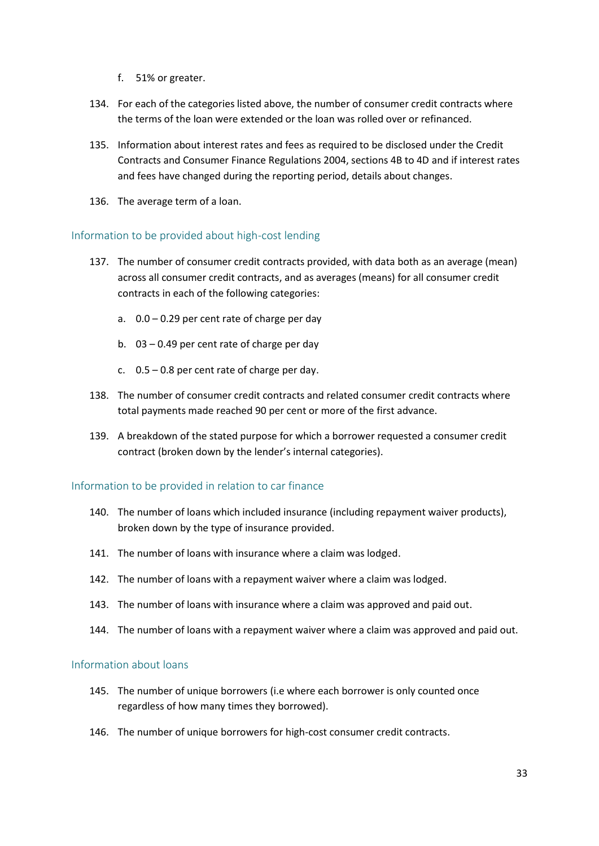- f. 51% or greater.
- 134. For each of the categories listed above, the number of consumer credit contracts where the terms of the loan were extended or the loan was rolled over or refinanced.
- 135. Information about interest rates and fees as required to be disclosed under the Credit Contracts and Consumer Finance Regulations 2004, sections 4B to 4D and if interest rates and fees have changed during the reporting period, details about changes.
- 136. The average term of a loan.

#### <span id="page-32-0"></span>Information to be provided about high-cost lending

- 137. The number of consumer credit contracts provided, with data both as an average (mean) across all consumer credit contracts, and as averages (means) for all consumer credit contracts in each of the following categories:
	- a. 0.0 0.29 per cent rate of charge per day
	- b. 03 0.49 per cent rate of charge per day
	- c.  $0.5 0.8$  per cent rate of charge per day.
- 138. The number of consumer credit contracts and related consumer credit contracts where total payments made reached 90 per cent or more of the first advance.
- 139. A breakdown of the stated purpose for which a borrower requested a consumer credit contract (broken down by the lender's internal categories).

## <span id="page-32-1"></span>Information to be provided in relation to car finance

- 140. The number of loans which included insurance (including repayment waiver products), broken down by the type of insurance provided.
- 141. The number of loans with insurance where a claim was lodged.
- 142. The number of loans with a repayment waiver where a claim was lodged.
- 143. The number of loans with insurance where a claim was approved and paid out.
- 144. The number of loans with a repayment waiver where a claim was approved and paid out.

## <span id="page-32-2"></span>Information about loans

- 145. The number of unique borrowers (i.e where each borrower is only counted once regardless of how many times they borrowed).
- 146. The number of unique borrowers for high-cost consumer credit contracts.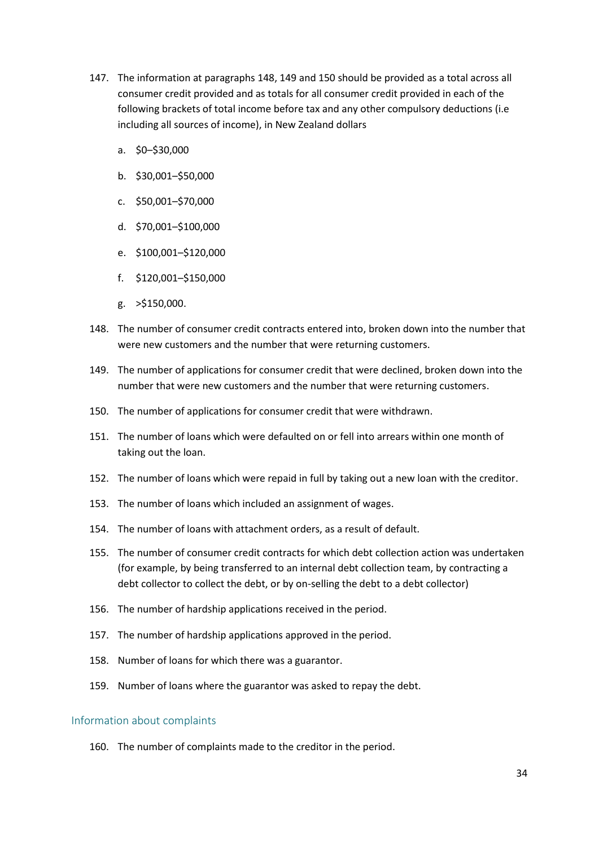- 147. The information at paragraphs [148,](#page-33-1) [149](#page-33-2) an[d 150 s](#page-33-3)hould be provided as a total across all consumer credit provided and as totals for all consumer credit provided in each of the following brackets of total income before tax and any other compulsory deductions (i.e including all sources of income), in New Zealand dollars
	- a. \$0–\$30,000
	- b. \$30,001–\$50,000
	- c. \$50,001–\$70,000
	- d. \$70,001–\$100,000
	- e. \$100,001–\$120,000
	- f. \$120,001–\$150,000
	- g. >\$150,000.
- <span id="page-33-1"></span>148. The number of consumer credit contracts entered into, broken down into the number that were new customers and the number that were returning customers.
- <span id="page-33-2"></span>149. The number of applications for consumer credit that were declined, broken down into the number that were new customers and the number that were returning customers.
- <span id="page-33-3"></span>150. The number of applications for consumer credit that were withdrawn.
- 151. The number of loans which were defaulted on or fell into arrears within one month of taking out the loan.
- 152. The number of loans which were repaid in full by taking out a new loan with the creditor.
- 153. The number of loans which included an assignment of wages.
- 154. The number of loans with attachment orders, as a result of default.
- 155. The number of consumer credit contracts for which debt collection action was undertaken (for example, by being transferred to an internal debt collection team, by contracting a debt collector to collect the debt, or by on-selling the debt to a debt collector)
- 156. The number of hardship applications received in the period.
- 157. The number of hardship applications approved in the period.
- 158. Number of loans for which there was a guarantor.
- 159. Number of loans where the guarantor was asked to repay the debt.

#### <span id="page-33-0"></span>Information about complaints

160. The number of complaints made to the creditor in the period.